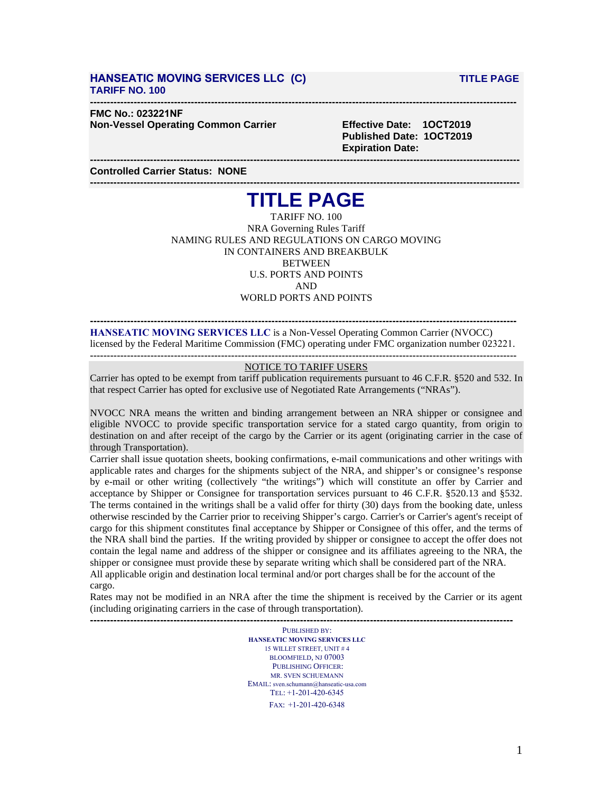### **HANSEATIC MOVING SERVICES LLC (C) TITLE PAGE TARIFF NO. 100**

#### **------------------------------------------------------------------------------------------------------------------------------- FMC No.: 023221NF**

**Non-Vessel Operating Common Carrier Effective Date: 1OCT2019**

**Published Date: 1OCT2019 Expiration Date:**

**--------------------------------------------------------------------------------------------------------------------------------- Controlled Carrier Status: NONE**

# **--------------------------------------------------------------------------------------------------------------------------------- TITLE PAGE**

TARIFF NO. 100 NRA Governing Rules Tariff NAMING RULES AND REGULATIONS ON CARGO MOVING IN CONTAINERS AND BREAKBULK **BETWEEN** U.S. PORTS AND POINTS AND WORLD PORTS AND POINTS

**------------------------------------------------------------------------------------------------------------------------------- HANSEATIC MOVING SERVICES LLC** is a Non-Vessel Operating Common Carrier (NVOCC) licensed by the Federal Maritime Commission (FMC) operating under FMC organization number 023221. **-------------------------------------------------------------------------------------------------------------------------------**

### **NOTICE TO TARIFF USERS**

Carrier has opted to be exempt from tariff publication requirements pursuant to 46 C.F.R. §520 and 532. In that respect Carrier has opted for exclusive use of Negotiated Rate Arrangements ("NRAs").

NVOCC NRA means the written and binding arrangement between an NRA shipper or consignee and eligible NVOCC to provide specific transportation service for a stated cargo quantity, from origin to destination on and after receipt of the cargo by the Carrier or its agent (originating carrier in the case of through Transportation).

Carrier shall issue quotation sheets, booking confirmations, e-mail communications and other writings with applicable rates and charges for the shipments subject of the NRA, and shipper's or consignee's response by e-mail or other writing (collectively "the writings") which will constitute an offer by Carrier and acceptance by Shipper or Consignee for transportation services pursuant to 46 C.F.R. §520.13 and §532. The terms contained in the writings shall be a valid offer for thirty (30) days from the booking date, unless otherwise rescinded by the Carrier prior to receiving Shipper's cargo. Carrier's or Carrier's agent's receipt of cargo for this shipment constitutes final acceptance by Shipper or Consignee of this offer, and the terms of the NRA shall bind the parties. If the writing provided by shipper or consignee to accept the offer does not contain the legal name and address of the shipper or consignee and its affiliates agreeing to the NRA, the shipper or consignee must provide these by separate writing which shall be considered part of the NRA. All applicable origin and destination local terminal and/or port charges shall be for the account of the cargo.

Rates may not be modified in an NRA after the time the shipment is received by the Carrier or its agent (including originating carriers in the case of through transportation).

**-------------------------------------------------------------------------------------------------------------------------------** PUBLISHED BY: **HANSEATIC MOVING SERVICES LLC** 15 WILLET STREET, UNIT # 4 BLOOMFIELD, NJ 07003 PUBLISHING OFFICER: MR. SVEN SCHUEMANN EMAIL: sven.schumann@hanseatic-usa.com TEL: +1-201-420-6345 FAX: +1-201-420-6348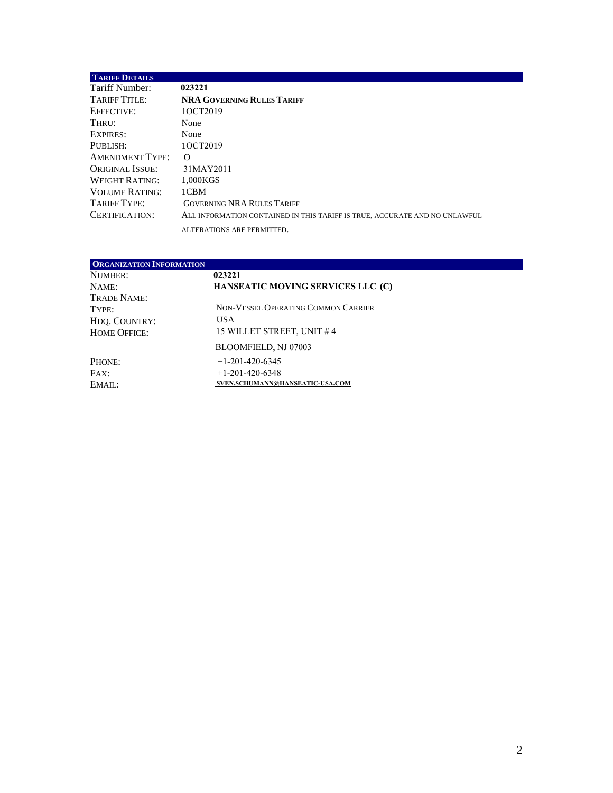| <b>TARIFF DETAILS</b>  |                                                                            |
|------------------------|----------------------------------------------------------------------------|
| Tariff Number:         | 023221                                                                     |
| TARIFF TITLE:          | <b>NRA GOVERNING RULES TARIFF</b>                                          |
| EFFECTIVE:             | 10CT2019                                                                   |
| THRU:                  | None                                                                       |
| <b>EXPIRES:</b>        | None                                                                       |
| PUBLISH:               | 10CT2019                                                                   |
| <b>AMENDMENT TYPE:</b> | $\Omega$                                                                   |
| ORIGINAL ISSUE:        | 31MAY2011                                                                  |
| <b>WEIGHT RATING:</b>  | 1.000KGS                                                                   |
| <b>VOLUME RATING:</b>  | 1CBM                                                                       |
| TARIFF TYPE:           | <b>GOVERNING NRA RULES TARIFF</b>                                          |
| CERTIFICATION:         | ALL INFORMATION CONTAINED IN THIS TARIFF IS TRUE, ACCURATE AND NO UNLAWFUL |
|                        | ALTERATIONS ARE PERMITTED.                                                 |

| <b>ORGANIZATION INFORMATION</b> |                                     |
|---------------------------------|-------------------------------------|
| NUMBER:                         | 023221                              |
| NAME:                           | HANSEATIC MOVING SERVICES LLC (C)   |
| Trade Name:                     |                                     |
| Type:                           | NON-VESSEL OPERATING COMMON CARRIER |
| HDO. COUNTRY:                   | <b>USA</b>                          |
| <b>HOME OFFICE:</b>             | 15 WILLET STREET, UNIT #4           |
|                                 | BLOOMFIELD, NJ 07003                |
| PHONE:                          | $+1-201-420-6345$                   |
| FAX:                            | $+1-201-420-6348$                   |
| EMAIL:                          | SVEN.SCHUMANN@HANSEATIC-USA.COM     |

 $\mathcal{O}(\mathcal{O}_\mathcal{O})$  .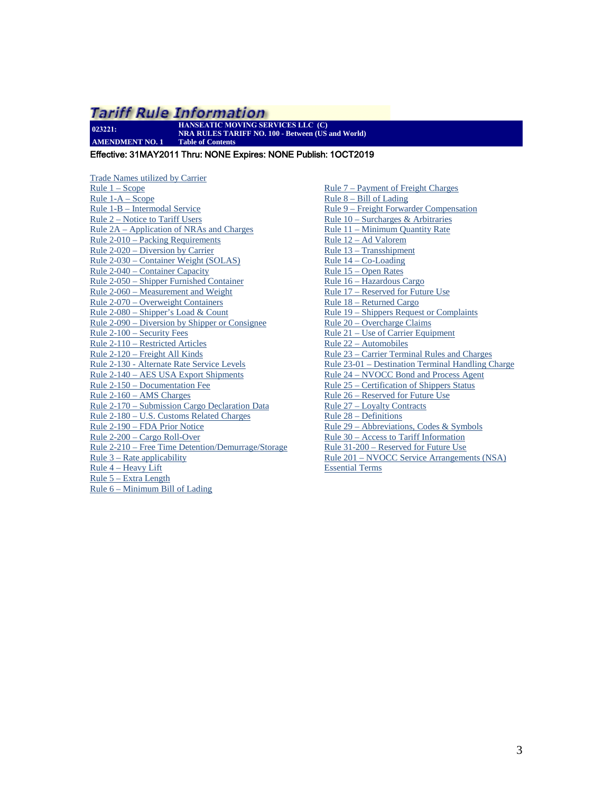**023221: HANSEATIC MOVING SERVICES LLC (C) NRA RULES TARIFF NO. 100 - Between (US and World) AMENDMENT NO. 1 Table of Contents**

<span id="page-2-0"></span>Effective: 31MAY2011 Thru: NONE Expires: NONE Publish: 1OCT2019

Trade Names utilized by Carrier  $Rule 1 - Score$ [Rule 1-A – Scope](#page-4-0) [Rule 1-B – Intermodal Service](#page-5-0) [Rule 2 – Notice to Tariff Users](#page-5-1) [Rule 2A – Application of NRAs](#page-5-2) and Charges [Rule 2-010 – Packing Requirements](#page-7-0) [Rule 2-020 – Diversion by Carrier](#page-7-1) [Rule 2-030 – Container Weight \(SOLAS\)](#page-8-0) [Rule 2-040 – Container Capacity](#page-9-0) [Rule 2-050 – Shipper Furnished Container](#page-9-1) [Rule 2-060 – Measurement and Weight](#page-9-2) [Rule 2-070 – Overweight Containers](#page-10-0) [Rule 2-080 – Shipper's Load & Count](#page-10-1) [Rule 2-090 – Diversion by Shipper or Consignee](#page-11-0) [Rule 2-100 – Security Fees](#page-11-1) [Rule 2-110 – Restricted Articles](#page-11-2) [Rule 2-120 – Freight All Kinds](#page-12-0) [Rule 2-130 - Alternate Rate Service Levels](#page-12-1) [Rule 2-140 – AES USA Export Shipments](#page-12-2) [Rule 2-150 – Documentation Fee](#page-12-3) [Rule 2-160 – AMS Charges](#page-13-0) [Rule 2-170 – Submission Cargo Declaration Data](#page-13-1) [Rule 2-180 – U.S. Customs Related Charges](#page-14-0)  [Rule 2-190 – FDA Prior Notice](#page-15-0) [Rule 2-200 – Cargo Roll-Over](#page-15-1) [Rule 2-210 – Free Time Detention/Demurrage/Storage](#page-15-2)  [Rule 3 – Rate applicability](#page-15-3) [Rule 4 – Heavy Lift](#page-15-4) [Rule 5 – Extra Length](#page-16-0) [Rule 6 – Minimum Bill of Lading](#page-16-1)

[Rule 7 – Payment of Freight Charges](#page-16-2) [Rule 8 – Bill of Lading](#page-16-3)  [Rule 9 – Freight Forwarder Compensation](#page-21-0) [Rule 10 – Surcharges & Arbitraries](#page-22-0) [Rule 11 – Minimum Quantity Rate](#page-22-1) [Rule 12 – Ad Valorem](#page-22-2) [Rule 13 – Transshipment](#page-23-0) [Rule 14 – Co-Loading](#page-23-1) [Rule 15 – Open Rates](#page-23-2) [Rule 16 – Hazardous Cargo](#page-23-3) [Rule 17 – Reserved for Future Use](#page-24-0) [Rule 18 – Returned Cargo](#page-24-1) [Rule 19 – Shippers Request or Complaints](#page-24-2) [Rule 20 – Overcharge Claims](#page-24-3) [Rule 21 – Use of Carrier Equipment](#page-25-0) [Rule 22 – Automobiles](#page-25-1) [Rule 23 – Carrier Terminal Rules and Charges](#page-25-2) [Rule 23-01 – Destination Terminal Handling Charge](#page-25-3) [Rule 24 – NVOCC Bond and Process Agent](#page-25-4) [Rule 25 – Certification of Shippers Status](#page-26-0) [Rule 26 – Reserved for Future Use](#page-26-1) [Rule 27 – Loyalty Contracts](#page-26-2) [Rule 28 – Definitions](#page-26-3) [Rule 29 – Abbreviations, Codes & Symbols](#page-28-0) [Rule 30 – Access to Tariff Information](#page-29-0) [Rule 31-200 – Reserved for Future Use](#page-29-1) [Rule 201 – NVOCC Service Arrangements \(NSA\)](#page-30-0)  [Essential Terms](#page-30-0)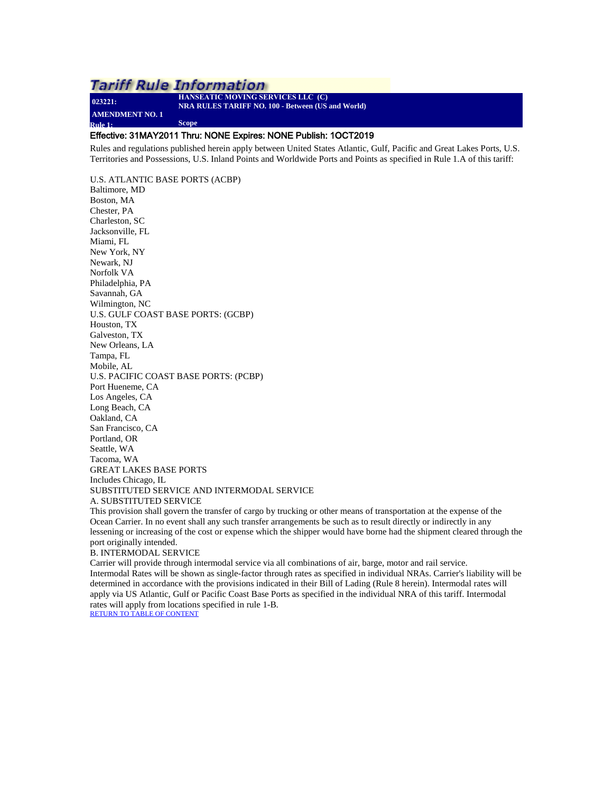<span id="page-3-0"></span>**023221: AMENDMENT NO. 1 Rule 1: Scope**

**HANSEATIC MOVING SERVICES LLC (C) NRA RULES TARIFF NO. 100 - Between (US and World)**

### Effective: 31MAY2011 Thru: NONE Expires: NONE Publish: 1OCT2019

Rules and regulations published herein apply between United States Atlantic, Gulf, Pacific and Great Lakes Ports, U.S. Territories and Possessions, U.S. Inland Points and Worldwide Ports and Points as specified in Rule 1.A of this tariff:

U.S. ATLANTIC BASE PORTS (ACBP) Baltimore, MD Boston, MA Chester, PA Charleston, SC Jacksonville, FL Miami, FL New York, NY Newark, NJ Norfolk VA Philadelphia, PA Savannah, GA Wilmington, NC U.S. GULF COAST BASE PORTS: (GCBP) Houston, TX Galveston, TX New Orleans, LA Tampa, FL Mobile, AL U.S. PACIFIC COAST BASE PORTS: (PCBP) Port Hueneme, CA Los Angeles, CA Long Beach, CA Oakland, CA San Francisco, CA Portland, OR Seattle, WA Tacoma, WA GREAT LAKES BASE PORTS Includes Chicago, IL SUBSTITUTED SERVICE AND INTERMODAL SERVICE A. SUBSTITUTED SERVICE

This provision shall govern the transfer of cargo by trucking or other means of transportation at the expense of the Ocean Carrier. In no event shall any such transfer arrangements be such as to result directly or indirectly in any lessening or increasing of the cost or expense which the shipper would have borne had the shipment cleared through the port originally intended.

#### B. INTERMODAL SERVICE

Carrier will provide through intermodal service via all combinations of air, barge, motor and rail service. Intermodal Rates will be shown as single-factor through rates as specified in individual NRAs. Carrier's liability will be determined in accordance with the provisions indicated in their Bill of Lading (Rule 8 herein). Intermodal rates will apply via US Atlantic, Gulf or Pacific Coast Base Ports as specified in the individual NRA of this tariff. Intermodal rates will apply from locations specified in rule 1-B. [RETURN TO TABLE OF CONTENT](#page-2-0)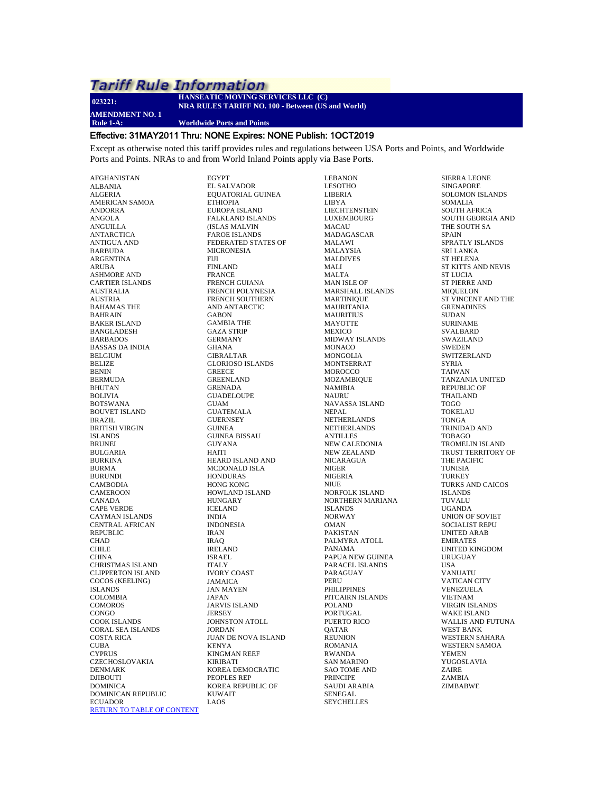**023221: AMENDMENT NO. 1**

#### **HANSEATIC MOVING SERVICES LLC (C) NRA RULES TARIFF NO. 100 - Between (US and World)**

**Rule 1-A: Worldwide Ports and Points**

#### <span id="page-4-0"></span>Effective: 31MAY2011 Thru: NONE Expires: NONE Publish: 1OCT2019

Except as otherwise noted this tariff provides rules and regulations between USA Ports and Points, and Worldwide Ports and Points. NRAs to and from World Inland Points apply via Base Ports.

AFGHANISTAN ALBANIA ALGERIA AMERICAN SAMOA ANDORRA ANGOLA ANGUILLA ANTARCTICA ANTIGUA AND BARBUDA ARGENTINA ARUBA ASHMORE AND CARTIER ISLANDS AUSTRALIA AUSTRIA BAHAMAS THE BAHRAIN BAKER ISLAND BANGLADESH BARBADOS BASSAS DA INDIA BELGIUM BELIZE BENIN BERMUDA BHUTAN BOLIVIA BOTSWANA BOUVET ISLAND BRAZIL BRITISH VIRGIN ISLANDS BRUNEI BULGARIA BURKINA BURMA BURUNDI CAMBODIA CAMEROON CANADA CAPE VERDE CAYMAN ISLANDS CENTRAL AFRICAN REPUBLIC CHAD CHILE CHINA CHRISTMAS ISLAND CLIPPERTON ISLAND COCOS (KEELING) ISLANDS COLOMBIA **COMOROS CONGO** COOK ISLANDS CORAL SEA ISLANDS COSTA RICA CUBA **CYPRUS** CZECHOSLOVAKIA DENMARK DJIBOUTI DOMINICA DOMINICAN REPUBLIC **ECUADOR** [RETURN TO TABLE OF CONTENT](#page-2-0)

EGYPT EL SALVADOR EQUATORIAL GUINEA ETHIOPIA EUROPA ISLAND FALKLAND ISLANDS (ISLAS MALVIN FAROE ISLANDS FEDERATED STATES OF MICRONESIA FIJI FINLAND FRANCE FRENCH GUIANA FRENCH POLYNESIA FRENCH SOUTHERN AND ANTARCTIC GABON GAMBIA THE GAZA STRIP GERMANY GHANA GIBRALTAR GLORIOSO ISLANDS **GREECE** GREENLAND GRENADA GUADELOUPE GUAM GUATEMALA **GUERNSEY** GUINEA GUINEA BISSAU GUYANA HAITI HEARD ISLAND AND MCDONALD ISLA HONDURAS HONG KONG HOWLAND ISLAND HUNGARY ICELAND INDIA INDONESIA IRAN IRAQ IRELAND ISRAEL ITALY IVORY COAST JAMAICA JAN MAYEN JAPAN JARVIS ISLAND JERSEY JOHNSTON ATOLL JORDAN JUAN DE NOVA ISLAND KENYA KINGMAN REEF KIRIBATI KOREA DEMOCRATIC PEOPLES REP KOREA REPUBLIC OF **KUWAIT** LAOS

LEBANON LESOTHO LIBERIA LIBYA LIECHTENSTEIN LUXEMBOURG MACAU MADAGASCAR MALAWI MALAYSIA MALDIVES MALI MALTA MAN ISLE OF MARSHALL ISLANDS MARTINIQUE MAURITANIA MAURITIUS MAYOTTE **MEXICO** MIDWAY ISLANDS MONACO MONGOLIA MONTSERRAT **MOROCCO** MOZAMBIQUE NAMIBIA NAURU NAVASSA ISLAND NEPAL NETHERLANDS NETHERLANDS ANTILLES NEW CALEDONIA NEW ZEALAND NICARAGUA NIGER NIGERIA NIUE NORFOLK ISLAND NORTHERN MARIANA ISLANDS NORWAY **OMAN** PAKISTAN PALMYRA ATOLL PANAMA PAPUA NEW GUINEA PARACEL ISLANDS PARAGUAY PERU PHILIPPINES PITCAIRN ISLANDS POLAND PORTUGAL PUERTO RICO **OATAR** REUNION ROMANIA RWANDA SAN MARINO SAO TOME AND PRINCIPE SAUDI ARABIA SENEGAL **SEYCHELLES** 

SIERRA LEONE SINGAPORE SOLOMON ISLANDS SOMALIA SOUTH AFRICA SOUTH GEORGIA AND THE SOUTH SA SPAIN SPRATLY ISLANDS SRI LANKA ST HELENA ST KITTS AND NEVIS ST LUCIA ST PIERRE AND MIQUELON ST VINCENT AND THE **GRENADINES** SUDAN SURINAME SVALBARD SWAZILAND **SWEDEN SWITZERLAND** SYRIA TAIWAN TANZANIA UNITED REPUBLIC OF THAILAND TOGO TOKELAU TONGA TRINIDAD AND TOBAGO TROMELIN ISLAND TRUST TERRITORY OF THE PACIFIC TUNISIA **TURKEY** TURKS AND CAICOS ISLANDS TUVALU UGANDA UNION OF SOVIET SOCIALIST REPU UNITED ARAB EMIRATES UNITED KINGDOM URUGUAY USA VANUATU VATICAN CITY VENEZUELA VIETNAM VIRGIN ISLANDS WAKE ISLAND WALLIS AND FUTUNA WEST BANK WESTERN SAHARA WESTERN SAMOA YEMEN YUGOSLAVIA ZAIRE ZAMBIA ZIMBABWE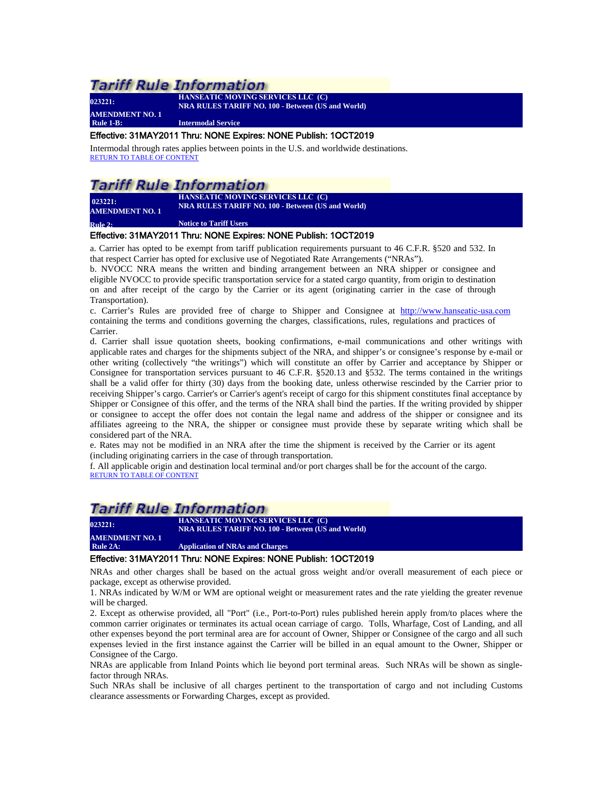**023221: AMENDMENT NO. 1**

**HANSEATIC MOVING SERVICES LLC (C) NRA RULES TARIFF NO. 100 - Between (US and World)**

**Rule 1-B: Intermodal Service**

### <span id="page-5-0"></span>Effective: 31MAY2011 Thru: NONE Expires: NONE Publish: 1OCT2019

Intermodal through rates applies between points in the U.S. and worldwide destinations. [RETURN TO TABLE OF CONTENT](#page-2-0)

# *Tariff Rule Information*

**AMENDMENT NO. 1** 

**HANSEATIC MOVING SERVICES LLC (C) NRA RULES TARIFF NO. 100 · BETWEEN (US and World)**<br> **NRA RULES TARIFF NO. 100 · Between (US and World)** 

<span id="page-5-1"></span>**Particle 2:** *Notice to Tariff Users* 

#### Effective: 31MAY2011 Thru: NONE Expires: NONE Publish: 1OCT2019

a. Carrier has opted to be exempt from tariff publication requirements pursuant to 46 C.F.R. §520 and 532. In that respect Carrier has opted for exclusive use of Negotiated Rate Arrangements ("NRAs").

b. NVOCC NRA means the written and binding arrangement between an NRA shipper or consignee and eligible NVOCC to provide specific transportation service for a stated cargo quantity, from origin to destination on and after receipt of the cargo by the Carrier or its agent (originating carrier in the case of through Transportation).

c. Carrier's Rules are provided free of charge to Shipper and Consignee at http://www.[hanseatic-usa.c](http://www.janelgroup.net/)om containing the terms and conditions governing the charges, classifications, rules, regulations and practices of Carrier.

d. Carrier shall issue quotation sheets, booking confirmations, e-mail communications and other writings with applicable rates and charges for the shipments subject of the NRA, and shipper's or consignee's response by e-mail or other writing (collectively "the writings") which will constitute an offer by Carrier and acceptance by Shipper or Consignee for transportation services pursuant to 46 C.F.R. §520.13 and §532. The terms contained in the writings shall be a valid offer for thirty (30) days from the booking date, unless otherwise rescinded by the Carrier prior to receiving Shipper's cargo. Carrier's or Carrier's agent's receipt of cargo for this shipment constitutes final acceptance by Shipper or Consignee of this offer, and the terms of the NRA shall bind the parties. If the writing provided by shipper or consignee to accept the offer does not contain the legal name and address of the shipper or consignee and its affiliates agreeing to the NRA, the shipper or consignee must provide these by separate writing which shall be considered part of the NRA.

e. Rates may not be modified in an NRA after the time the shipment is received by the Carrier or its agent (including originating carriers in the case of through transportation.

f. All applicable origin and destination local terminal and/or port charges shall be for the account of the cargo. [RETURN TO TABLE OF CONTENT](#page-2-0)

### **Tariff Rule Information**

**023221: HANSEATIC MOVING SERVICES LLC (C) NRA RULES TARIFF NO. 100 - Between (US and World) AMENDMENT NO. 1**

<span id="page-5-2"></span>**Application of NRAs and Charges** 

### Effective: 31MAY2011 Thru: NONE Expires: NONE Publish: 1OCT2019

NRAs and other charges shall be based on the actual gross weight and/or overall measurement of each piece or package, except as otherwise provided.

1. NRAs indicated by W/M or WM are optional weight or measurement rates and the rate yielding the greater revenue will be charged.

2. Except as otherwise provided, all "Port" (i.e., Port-to-Port) rules published herein apply from/to places where the common carrier originates or terminates its actual ocean carriage of cargo. Tolls, Wharfage, Cost of Landing, and all other expenses beyond the port terminal area are for account of Owner, Shipper or Consignee of the cargo and all such expenses levied in the first instance against the Carrier will be billed in an equal amount to the Owner, Shipper or Consignee of the Cargo.

NRAs are applicable from Inland Points which lie beyond port terminal areas. Such NRAs will be shown as singlefactor through NRAs.

Such NRAs shall be inclusive of all charges pertinent to the transportation of cargo and not including Customs clearance assessments or Forwarding Charges, except as provided.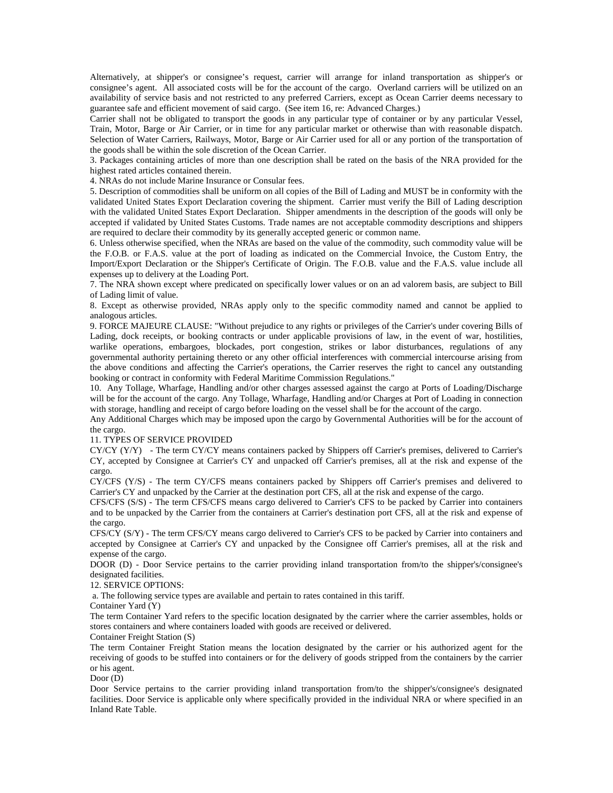Alternatively, at shipper's or consignee's request, carrier will arrange for inland transportation as shipper's or consignee's agent. All associated costs will be for the account of the cargo. Overland carriers will be utilized on an availability of service basis and not restricted to any preferred Carriers, except as Ocean Carrier deems necessary to guarantee safe and efficient movement of said cargo. (See item 16, re: Advanced Charges.)

Carrier shall not be obligated to transport the goods in any particular type of container or by any particular Vessel, Train, Motor, Barge or Air Carrier, or in time for any particular market or otherwise than with reasonable dispatch. Selection of Water Carriers, Railways, Motor, Barge or Air Carrier used for all or any portion of the transportation of the goods shall be within the sole discretion of the Ocean Carrier.

3. Packages containing articles of more than one description shall be rated on the basis of the NRA provided for the highest rated articles contained therein.

4. NRAs do not include Marine Insurance or Consular fees.

5. Description of commodities shall be uniform on all copies of the Bill of Lading and MUST be in conformity with the validated United States Export Declaration covering the shipment. Carrier must verify the Bill of Lading description with the validated United States Export Declaration. Shipper amendments in the description of the goods will only be accepted if validated by United States Customs. Trade names are not acceptable commodity descriptions and shippers are required to declare their commodity by its generally accepted generic or common name.

6. Unless otherwise specified, when the NRAs are based on the value of the commodity, such commodity value will be the F.O.B. or F.A.S. value at the port of loading as indicated on the Commercial Invoice, the Custom Entry, the Import/Export Declaration or the Shipper's Certificate of Origin. The F.O.B. value and the F.A.S. value include all expenses up to delivery at the Loading Port.

7. The NRA shown except where predicated on specifically lower values or on an ad valorem basis, are subject to Bill of Lading limit of value.

8. Except as otherwise provided, NRAs apply only to the specific commodity named and cannot be applied to analogous articles.

9. FORCE MAJEURE CLAUSE: "Without prejudice to any rights or privileges of the Carrier's under covering Bills of Lading, dock receipts, or booking contracts or under applicable provisions of law, in the event of war, hostilities, warlike operations, embargoes, blockades, port congestion, strikes or labor disturbances, regulations of any governmental authority pertaining thereto or any other official interferences with commercial intercourse arising from the above conditions and affecting the Carrier's operations, the Carrier reserves the right to cancel any outstanding booking or contract in conformity with Federal Maritime Commission Regulations."

10. Any Tollage, Wharfage, Handling and/or other charges assessed against the cargo at Ports of Loading/Discharge will be for the account of the cargo. Any Tollage, Wharfage, Handling and/or Charges at Port of Loading in connection with storage, handling and receipt of cargo before loading on the vessel shall be for the account of the cargo.

Any Additional Charges which may be imposed upon the cargo by Governmental Authorities will be for the account of the cargo.

#### 11. TYPES OF SERVICE PROVIDED

CY/CY (Y/Y) - The term CY/CY means containers packed by Shippers off Carrier's premises, delivered to Carrier's CY, accepted by Consignee at Carrier's CY and unpacked off Carrier's premises, all at the risk and expense of the cargo.

CY/CFS (Y/S) - The term CY/CFS means containers packed by Shippers off Carrier's premises and delivered to Carrier's CY and unpacked by the Carrier at the destination port CFS, all at the risk and expense of the cargo.

CFS/CFS (S/S) - The term CFS/CFS means cargo delivered to Carrier's CFS to be packed by Carrier into containers and to be unpacked by the Carrier from the containers at Carrier's destination port CFS, all at the risk and expense of the cargo.

CFS/CY (S/Y) - The term CFS/CY means cargo delivered to Carrier's CFS to be packed by Carrier into containers and accepted by Consignee at Carrier's CY and unpacked by the Consignee off Carrier's premises, all at the risk and expense of the cargo.

DOOR (D) - Door Service pertains to the carrier providing inland transportation from/to the shipper's/consignee's designated facilities.

12. SERVICE OPTIONS:

a. The following service types are available and pertain to rates contained in this tariff.

Container Yard (Y)

The term Container Yard refers to the specific location designated by the carrier where the carrier assembles, holds or stores containers and where containers loaded with goods are received or delivered.

Container Freight Station (S)

The term Container Freight Station means the location designated by the carrier or his authorized agent for the receiving of goods to be stuffed into containers or for the delivery of goods stripped from the containers by the carrier or his agent.

Door (D)

Door Service pertains to the carrier providing inland transportation from/to the shipper's/consignee's designated facilities. Door Service is applicable only where specifically provided in the individual NRA or where specified in an Inland Rate Table.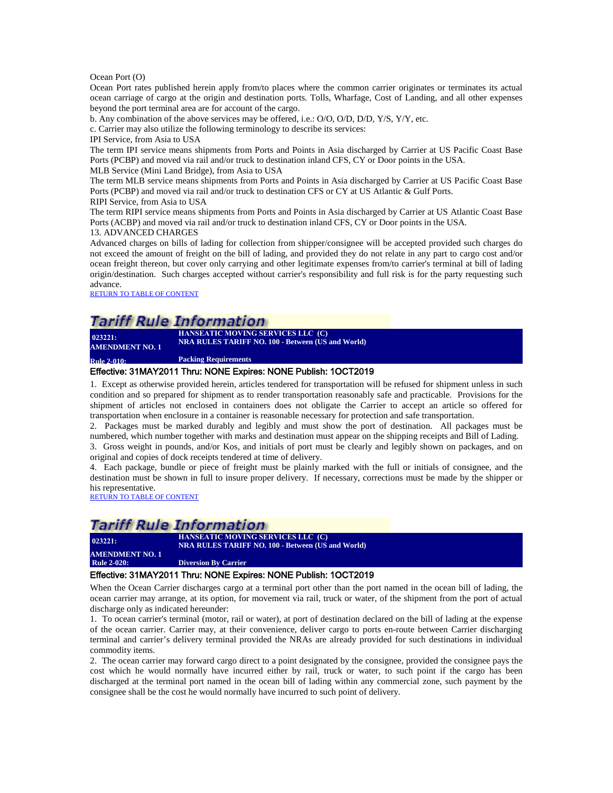Ocean Port (O)

Ocean Port rates published herein apply from/to places where the common carrier originates or terminates its actual ocean carriage of cargo at the origin and destination ports. Tolls, Wharfage, Cost of Landing, and all other expenses beyond the port terminal area are for account of the cargo.

b. Any combination of the above services may be offered, i.e.: O/O, O/D, D/D, Y/S, Y/Y, etc.

c. Carrier may also utilize the following terminology to describe its services:

IPI Service, from Asia to USA

The term IPI service means shipments from Ports and Points in Asia discharged by Carrier at US Pacific Coast Base Ports (PCBP) and moved via rail and/or truck to destination inland CFS, CY or Door points in the USA.

MLB Service (Mini Land Bridge), from Asia to USA

The term MLB service means shipments from Ports and Points in Asia discharged by Carrier at US Pacific Coast Base Ports (PCBP) and moved via rail and/or truck to destination CFS or CY at US Atlantic & Gulf Ports.

RIPI Service, from Asia to USA

The term RIPI service means shipments from Ports and Points in Asia discharged by Carrier at US Atlantic Coast Base Ports (ACBP) and moved via rail and/or truck to destination inland CFS, CY or Door points in the USA.

13. ADVANCED CHARGES

Advanced charges on bills of lading for collection from shipper/consignee will be accepted provided such charges do not exceed the amount of freight on the bill of lading, and provided they do not relate in any part to cargo cost and/or ocean freight thereon, but cover only carrying and other legitimate expenses from/to carrier's terminal at bill of lading origin/destination. Such charges accepted without carrier's responsibility and full risk is for the party requesting such advance.

[RETURN TO TABLE OF CONTENT](#page-2-0)

### **Tariff Rule Information**

**HANSEATIC MOVING SERVICES LLC (C) NRA RULES TARIFF NO. 100 <b>- Between (US and World)**<br> **NRA RULES TARIFF NO. 100 - Between (US and World) AMENDMENT NO. 1** 

<span id="page-7-0"></span>**Rule 2-010: Packing Requirements**

#### Effective: 31MAY2011 Thru: NONE Expires: NONE Publish: 1OCT2019

1. Except as otherwise provided herein, articles tendered for transportation will be refused for shipment unless in such condition and so prepared for shipment as to render transportation reasonably safe and practicable. Provisions for the shipment of articles not enclosed in containers does not obligate the Carrier to accept an article so offered for transportation when enclosure in a container is reasonable necessary for protection and safe transportation.

2. Packages must be marked durably and legibly and must show the port of destination. All packages must be numbered, which number together with marks and destination must appear on the shipping receipts and Bill of Lading.

3. Gross weight in pounds, and/or Kos, and initials of port must be clearly and legibly shown on packages, and on original and copies of dock receipts tendered at time of delivery.

4. Each package, bundle or piece of freight must be plainly marked with the full or initials of consignee, and the destination must be shown in full to insure proper delivery. If necessary, corrections must be made by the shipper or his representative.

[RETURN TO TABLE OF CONTENT](#page-2-0)

#### *Tariff Rule Information* **HANSEATIC MOVING SERVICES LLC (C) 023221: NRA RULES TARIFF NO. 100 - Between (US and World)**

<span id="page-7-1"></span>**AMENDMENT NO. 1**<br> **Rule 2-020: Diversion By Carrier** 

#### Effective: 31MAY2011 Thru: NONE Expires: NONE Publish: 1OCT2019

When the Ocean Carrier discharges cargo at a terminal port other than the port named in the ocean bill of lading, the ocean carrier may arrange, at its option, for movement via rail, truck or water, of the shipment from the port of actual discharge only as indicated hereunder:

1. To ocean carrier's terminal (motor, rail or water), at port of destination declared on the bill of lading at the expense of the ocean carrier. Carrier may, at their convenience, deliver cargo to ports en-route between Carrier discharging terminal and carrier's delivery terminal provided the NRAs are already provided for such destinations in individual commodity items.

2. The ocean carrier may forward cargo direct to a point designated by the consignee, provided the consignee pays the cost which he would normally have incurred either by rail, truck or water, to such point if the cargo has been discharged at the terminal port named in the ocean bill of lading within any commercial zone, such payment by the consignee shall be the cost he would normally have incurred to such point of delivery.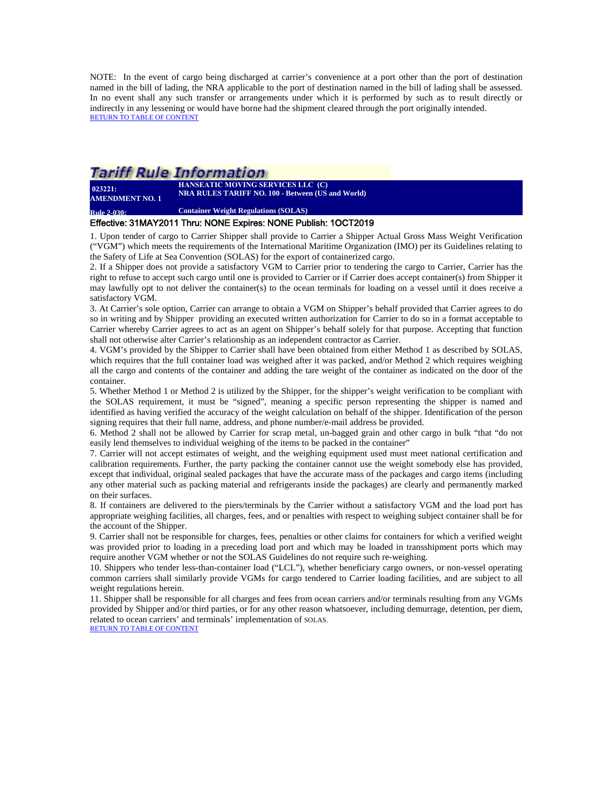NOTE: In the event of cargo being discharged at carrier's convenience at a port other than the port of destination named in the bill of lading, the NRA applicable to the port of destination named in the bill of lading shall be assessed. In no event shall any such transfer or arrangements under which it is performed by such as to result directly or indirectly in any lessening or would have borne had the shipment cleared through the port originally intended. [RETURN TO TABLE OF CONTENT](#page-2-0)

### Tariff Rule Information **HANSEATIC MOVING SERVICES LLC (C)**

**NRA RULES TARIFF NO. 100 • Between (US and World)**<br> **NRA RULES TARIFF NO. 100 • Between (US and World) AMENDMENT NO. 1** 

<span id="page-8-0"></span>**Rule 2-030: Container Weight Regulations (SOLAS)**

#### Effective: 31MAY2011 Thru: NONE Expires: NONE Publish: 1OCT2019

1. Upon tender of cargo to Carrier Shipper shall provide to Carrier a Shipper Actual Gross Mass Weight Verification ("VGM") which meets the requirements of the International Maritime Organization (IMO) per its Guidelines relating to the Safety of Life at Sea Convention (SOLAS) for the export of containerized cargo.

2. If a Shipper does not provide a satisfactory VGM to Carrier prior to tendering the cargo to Carrier, Carrier has the right to refuse to accept such cargo until one is provided to Carrier or if Carrier does accept container(s) from Shipper it may lawfully opt to not deliver the container(s) to the ocean terminals for loading on a vessel until it does receive a satisfactory VGM.

3. At Carrier's sole option, Carrier can arrange to obtain a VGM on Shipper's behalf provided that Carrier agrees to do so in writing and by Shipper providing an executed written authorization for Carrier to do so in a format acceptable to Carrier whereby Carrier agrees to act as an agent on Shipper's behalf solely for that purpose. Accepting that function shall not otherwise alter Carrier's relationship as an independent contractor as Carrier.

4. VGM's provided by the Shipper to Carrier shall have been obtained from either Method 1 as described by SOLAS, which requires that the full container load was weighed after it was packed, and/or Method 2 which requires weighing all the cargo and contents of the container and adding the tare weight of the container as indicated on the door of the container.

5. Whether Method 1 or Method 2 is utilized by the Shipper, for the shipper's weight verification to be compliant with the SOLAS requirement, it must be "signed", meaning a specific person representing the shipper is named and identified as having verified the accuracy of the weight calculation on behalf of the shipper. Identification of the person signing requires that their full name, address, and phone number/e-mail address be provided.

6. Method 2 shall not be allowed by Carrier for scrap metal, un-bagged grain and other cargo in bulk "that "do not easily lend themselves to individual weighing of the items to be packed in the container"

7. Carrier will not accept estimates of weight, and the weighing equipment used must meet national certification and calibration requirements. Further, the party packing the container cannot use the weight somebody else has provided, except that individual, original sealed packages that have the accurate mass of the packages and cargo items (including any other material such as packing material and refrigerants inside the packages) are clearly and permanently marked on their surfaces.

8. If containers are delivered to the piers/terminals by the Carrier without a satisfactory VGM and the load port has appropriate weighing facilities, all charges, fees, and or penalties with respect to weighing subject container shall be for the account of the Shipper.

9. Carrier shall not be responsible for charges, fees, penalties or other claims for containers for which a verified weight was provided prior to loading in a preceding load port and which may be loaded in transshipment ports which may require another VGM whether or not the SOLAS Guidelines do not require such re-weighing.

10. Shippers who tender less-than-container load ("LCL"), whether beneficiary cargo owners, or non-vessel operating common carriers shall similarly provide VGMs for cargo tendered to Carrier loading facilities, and are subject to all weight regulations herein.

11. Shipper shall be responsible for all charges and fees from ocean carriers and/or terminals resulting from any VGMs provided by Shipper and/or third parties, or for any other reason whatsoever, including demurrage, detention, per diem, related to ocean carriers' and terminals' implementation of SOLAS.

[RETURN TO TABLE OF CONTENT](#page-2-0)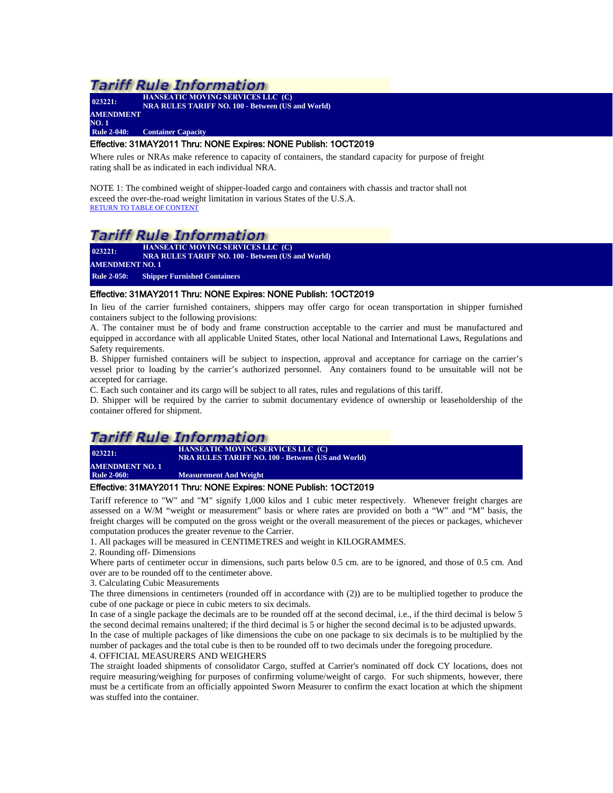| 023221:            | <b>HANSEATIC MOVING SERVICES LLC (C)</b><br><b>NRA RULES TARIFF NO. 100 - Between (US and World)</b> |
|--------------------|------------------------------------------------------------------------------------------------------|
| <b>AMENDMENT</b>   |                                                                                                      |
| NO. 1              |                                                                                                      |
| <b>Rule 2-040:</b> | <b>Container Capacity</b>                                                                            |
|                    |                                                                                                      |

#### <span id="page-9-0"></span>Effective: 31MAY2011 Thru: NONE Expires: NONE Publish: 1OCT2019

Where rules or NRAs make reference to capacity of containers, the standard capacity for purpose of freight rating shall be as indicated in each individual NRA.

NOTE 1: The combined weight of shipper-loaded cargo and containers with chassis and tractor shall not exceed the over-the-road weight limitation in various States of the U.S.A. [RETURN TO TABLE OF CONTENT](#page-2-0)

### Tariff Rule Information

**023221: HANSEATIC MOVING SERVICES LLC (C) NRA RULES TARIFF NO. 100 - Between (US and World) AMENDMENT NO. 1 Rule 2-050: Shipper Furnished Containers**

### <span id="page-9-1"></span>Effective: 31MAY2011 Thru: NONE Expires: NONE Publish: 1OCT2019

In lieu of the carrier furnished containers, shippers may offer cargo for ocean transportation in shipper furnished containers subject to the following provisions:

A. The container must be of body and frame construction acceptable to the carrier and must be manufactured and equipped in accordance with all applicable United States, other local National and International Laws, Regulations and Safety requirements.

B. Shipper furnished containers will be subject to inspection, approval and acceptance for carriage on the carrier's vessel prior to loading by the carrier's authorized personnel. Any containers found to be unsuitable will not be accepted for carriage.

C. Each such container and its cargo will be subject to all rates, rules and regulations of this tariff.

D. Shipper will be required by the carrier to submit documentary evidence of ownership or leaseholdership of the container offered for shipment.

### Tariff Rule Information

**023221: HANSEATIC MOVING SERVICES LLC (C) NRA RULES TARIFF NO. 100 - Between (US and World) AMENDMENT NO. 1**

<span id="page-9-2"></span>**Measurement And Weight** 

#### Effective: 31MAY2011 Thru: NONE Expires: NONE Publish: 1OCT2019

Tariff reference to "W" and "M" signify 1,000 kilos and 1 cubic meter respectively. Whenever freight charges are assessed on a W/M "weight or measurement" basis or where rates are provided on both a "W" and "M" basis, the freight charges will be computed on the gross weight or the overall measurement of the pieces or packages, whichever computation produces the greater revenue to the Carrier.

1. All packages will be measured in CENTIMETRES and weight in KILOGRAMMES.

2. Rounding off- Dimensions

Where parts of centimeter occur in dimensions, such parts below 0.5 cm. are to be ignored, and those of 0.5 cm. And over are to be rounded off to the centimeter above.

3. Calculating Cubic Measurements

The three dimensions in centimeters (rounded off in accordance with (2)) are to be multiplied together to produce the cube of one package or piece in cubic meters to six decimals.

In case of a single package the decimals are to be rounded off at the second decimal, i.e., if the third decimal is below 5 the second decimal remains unaltered; if the third decimal is 5 or higher the second decimal is to be adjusted upwards. In the case of multiple packages of like dimensions the cube on one package to six decimals is to be multiplied by the number of packages and the total cube is then to be rounded off to two decimals under the foregoing procedure. 4. OFFICIAL MEASURERS AND WEIGHERS

The straight loaded shipments of consolidator Cargo, stuffed at Carrier's nominated off dock CY locations, does not require measuring/weighing for purposes of confirming volume/weight of cargo. For such shipments, however, there must be a certificate from an officially appointed Sworn Measurer to confirm the exact location at which the shipment was stuffed into the container.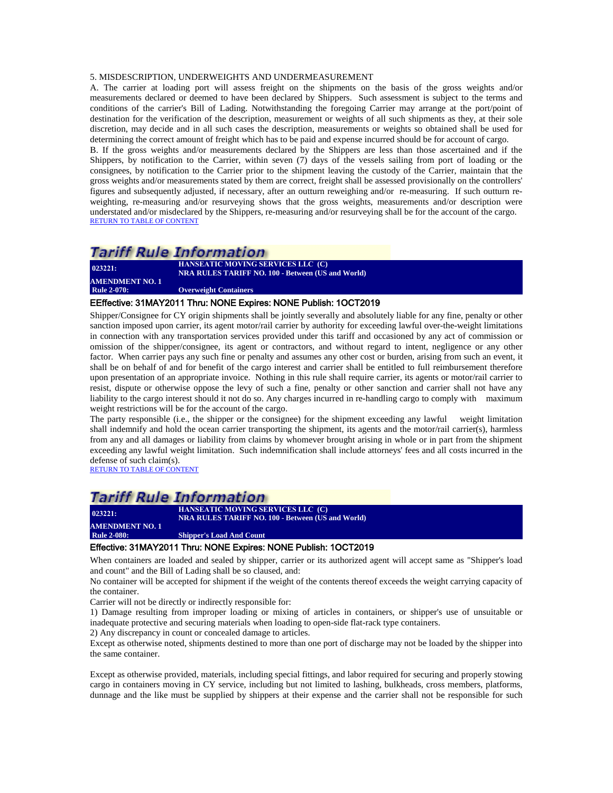#### 5. MISDESCRIPTION, UNDERWEIGHTS AND UNDERMEASUREMENT

A. The carrier at loading port will assess freight on the shipments on the basis of the gross weights and/or measurements declared or deemed to have been declared by Shippers. Such assessment is subject to the terms and conditions of the carrier's Bill of Lading. Notwithstanding the foregoing Carrier may arrange at the port/point of destination for the verification of the description, measurement or weights of all such shipments as they, at their sole discretion, may decide and in all such cases the description, measurements or weights so obtained shall be used for determining the correct amount of freight which has to be paid and expense incurred should be for account of cargo.

B. If the gross weights and/or measurements declared by the Shippers are less than those ascertained and if the Shippers, by notification to the Carrier, within seven (7) days of the vessels sailing from port of loading or the consignees, by notification to the Carrier prior to the shipment leaving the custody of the Carrier, maintain that the gross weights and/or measurements stated by them are correct, freight shall be assessed provisionally on the controllers' figures and subsequently adjusted, if necessary, after an outturn reweighing and/or re-measuring. If such outturn reweighting, re-measuring and/or resurveying shows that the gross weights, measurements and/or description were understated and/or misdeclared by the Shippers, re-measuring and/or resurveying shall be for the account of the cargo. [RETURN TO TABLE OF CONTENT](#page-2-0)

### *Tariff Rule Information*

**023221: AMENDMENT NO. 1**

**HANSEATIC MOVING SERVICES LLC (C) NRA RULES TARIFF NO. 100 - Between (US and World)**

**Overweight Containers** 

#### <span id="page-10-0"></span>EEffective: 31MAY2011 Thru: NONE Expires: NONE Publish: 1OCT2019

Shipper/Consignee for CY origin shipments shall be jointly severally and absolutely liable for any fine, penalty or other sanction imposed upon carrier, its agent motor/rail carrier by authority for exceeding lawful over-the-weight limitations in connection with any transportation services provided under this tariff and occasioned by any act of commission or omission of the shipper/consignee, its agent or contractors, and without regard to intent, negligence or any other factor. When carrier pays any such fine or penalty and assumes any other cost or burden, arising from such an event, it shall be on behalf of and for benefit of the cargo interest and carrier shall be entitled to full reimbursement therefore upon presentation of an appropriate invoice. Nothing in this rule shall require carrier, its agents or motor/rail carrier to resist, dispute or otherwise oppose the levy of such a fine, penalty or other sanction and carrier shall not have any liability to the cargo interest should it not do so. Any charges incurred in re-handling cargo to comply with maximum weight restrictions will be for the account of the cargo.

The party responsible (i.e., the shipper or the consignee) for the shipment exceeding any lawful weight limitation shall indemnify and hold the ocean carrier transporting the shipment, its agents and the motor/rail carrier(s), harmless from any and all damages or liability from claims by whomever brought arising in whole or in part from the shipment exceeding any lawful weight limitation. Such indemnification shall include attorneys' fees and all costs incurred in the defense of such claim(s).

[RETURN TO TABLE OF CONTENT](#page-2-0)

**023221:** 

### **Tariff Rule Information**

**HANSEATIC MOVING SERVICES LLC (C) NRA RULES TARIFF NO. 100 - Between (US and World)**

<span id="page-10-1"></span>**AMENDMENT NO. 1 Shipper's Load And Count** 

#### Effective: 31MAY2011 Thru: NONE Expires: NONE Publish: 1OCT2019

When containers are loaded and sealed by shipper, carrier or its authorized agent will accept same as "Shipper's load and count" and the Bill of Lading shall be so claused, and:

No container will be accepted for shipment if the weight of the contents thereof exceeds the weight carrying capacity of the container.

Carrier will not be directly or indirectly responsible for:

1) Damage resulting from improper loading or mixing of articles in containers, or shipper's use of unsuitable or inadequate protective and securing materials when loading to open-side flat-rack type containers.

2) Any discrepancy in count or concealed damage to articles.

Except as otherwise noted, shipments destined to more than one port of discharge may not be loaded by the shipper into the same container.

Except as otherwise provided, materials, including special fittings, and labor required for securing and properly stowing cargo in containers moving in CY service, including but not limited to lashing, bulkheads, cross members, platforms, dunnage and the like must be supplied by shippers at their expense and the carrier shall not be responsible for such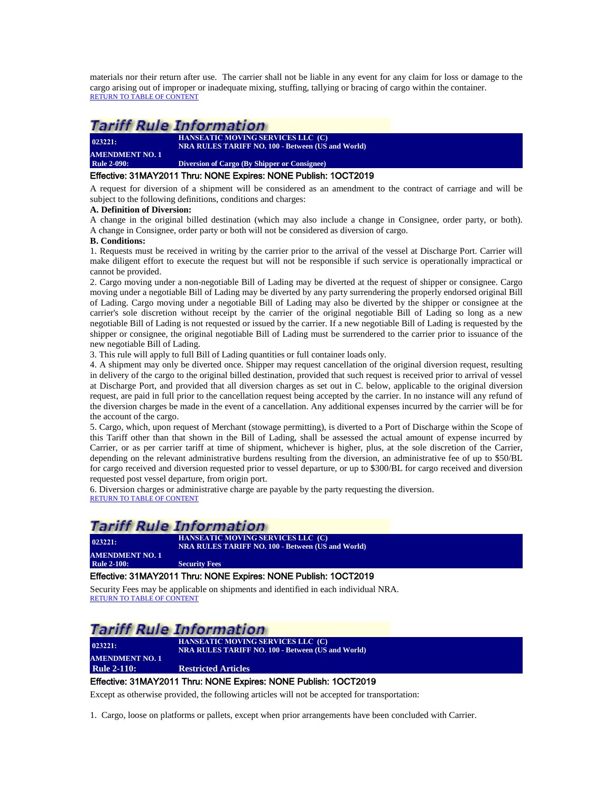materials nor their return after use. The carrier shall not be liable in any event for any claim for loss or damage to the cargo arising out of improper or inadequate mixing, stuffing, tallying or bracing of cargo within the container. [RETURN TO TABLE OF CONTENT](#page-2-0)

# *Tariff Rule Information*

| 023221:                | <b>HANSEATIC MOVING SERVICES LLC (C)</b><br><b>NRA RULES TARIFF NO. 100 - Between (US and World)</b> |
|------------------------|------------------------------------------------------------------------------------------------------|
| <b>AMENDMENT NO. 1</b> |                                                                                                      |
| <b>Rule 2-090:</b>     | Diversion of Cargo (By Shipper or Consignee)                                                         |

#### <span id="page-11-0"></span>Effective: 31MAY2011 Thru: NONE Expires: NONE Publish: 1OCT2019

A request for diversion of a shipment will be considered as an amendment to the contract of carriage and will be subject to the following definitions, conditions and charges:

#### **A. Definition of Diversion:**

A change in the original billed destination (which may also include a change in Consignee, order party, or both). A change in Consignee, order party or both will not be considered as diversion of cargo.

#### **B. Conditions:**

1. Requests must be received in writing by the carrier prior to the arrival of the vessel at Discharge Port. Carrier will make diligent effort to execute the request but will not be responsible if such service is operationally impractical or cannot be provided.

2. Cargo moving under a non-negotiable Bill of Lading may be diverted at the request of shipper or consignee. Cargo moving under a negotiable Bill of Lading may be diverted by any party surrendering the properly endorsed original Bill of Lading. Cargo moving under a negotiable Bill of Lading may also be diverted by the shipper or consignee at the carrier's sole discretion without receipt by the carrier of the original negotiable Bill of Lading so long as a new negotiable Bill of Lading is not requested or issued by the carrier. If a new negotiable Bill of Lading is requested by the shipper or consignee, the original negotiable Bill of Lading must be surrendered to the carrier prior to issuance of the new negotiable Bill of Lading.

3. This rule will apply to full Bill of Lading quantities or full container loads only.

4. A shipment may only be diverted once. Shipper may request cancellation of the original diversion request, resulting in delivery of the cargo to the original billed destination, provided that such request is received prior to arrival of vessel at Discharge Port, and provided that all diversion charges as set out in C. below, applicable to the original diversion request, are paid in full prior to the cancellation request being accepted by the carrier. In no instance will any refund of the diversion charges be made in the event of a cancellation. Any additional expenses incurred by the carrier will be for the account of the cargo.

5. Cargo, which, upon request of Merchant (stowage permitting), is diverted to a Port of Discharge within the Scope of this Tariff other than that shown in the Bill of Lading, shall be assessed the actual amount of expense incurred by Carrier, or as per carrier tariff at time of shipment, whichever is higher, plus, at the sole discretion of the Carrier, depending on the relevant administrative burdens resulting from the diversion, an administrative fee of up to \$50/BL for cargo received and diversion requested prior to vessel departure, or up to \$300/BL for cargo received and diversion requested post vessel departure, from origin port.

6. Diversion charges or administrative charge are payable by the party requesting the diversion. [RETURN TO TABLE OF CONTENT](#page-2-0)

### Tariff Rule Information

|                                            | 023221: | <b>HANSEATIC MOVING SERVICES LLC (C)</b><br><b>NRA RULES TARIFF NO. 100 - Between (US and World)</b> |
|--------------------------------------------|---------|------------------------------------------------------------------------------------------------------|
| <b>AMENDMENT NO. 1</b>                     |         |                                                                                                      |
| <b>Rule 2-100:</b><br><b>Security Fees</b> |         |                                                                                                      |

#### <span id="page-11-1"></span>Effective: 31MAY2011 Thru: NONE Expires: NONE Publish: 1OCT2019

Security Fees may be applicable on shipments and identified in each individual NRA. [RETURN TO TABLE OF CONTENT](#page-2-0)

# Tariff Rule Information

**023221: AMENDMENT NO. 1**

 **HANSEATIC MOVING SERVICES LLC (C) NRA RULES TARIFF NO. 100 - Between (US and World)**

### <span id="page-11-2"></span>**Rule 2-110: Restricted Articles**

### Effective: 31MAY2011 Thru: NONE Expires: NONE Publish: 1OCT2019

Except as otherwise provided, the following articles will not be accepted for transportation:

1. Cargo, loose on platforms or pallets, except when prior arrangements have been concluded with Carrier.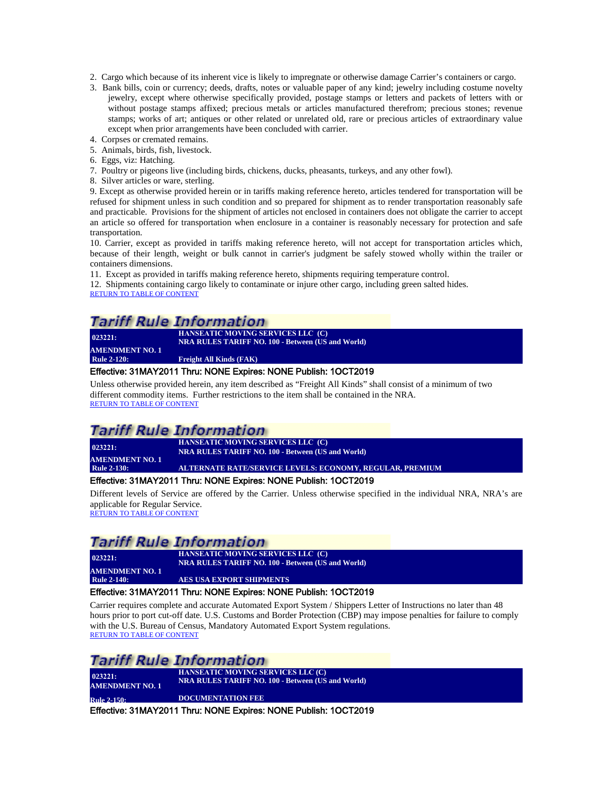- 2. Cargo which because of its inherent vice is likely to impregnate or otherwise damage Carrier's containers or cargo.
- 3. Bank bills, coin or currency; deeds, drafts, notes or valuable paper of any kind; jewelry including costume novelty jewelry, except where otherwise specifically provided, postage stamps or letters and packets of letters with or without postage stamps affixed; precious metals or articles manufactured therefrom; precious stones; revenue stamps; works of art; antiques or other related or unrelated old, rare or precious articles of extraordinary value except when prior arrangements have been concluded with carrier.
- 4. Corpses or cremated remains. 5. Animals, birds, fish, livestock.
- 6. Eggs, viz: Hatching.
- 7. Poultry or pigeons live (including birds, chickens, ducks, pheasants, turkeys, and any other fowl).
- 8. Silver articles or ware, sterling.

9. Except as otherwise provided herein or in tariffs making reference hereto, articles tendered for transportation will be refused for shipment unless in such condition and so prepared for shipment as to render transportation reasonably safe and practicable. Provisions for the shipment of articles not enclosed in containers does not obligate the carrier to accept an article so offered for transportation when enclosure in a container is reasonably necessary for protection and safe transportation.

10. Carrier, except as provided in tariffs making reference hereto, will not accept for transportation articles which, because of their length, weight or bulk cannot in carrier's judgment be safely stowed wholly within the trailer or containers dimensions.

11. Except as provided in tariffs making reference hereto, shipments requiring temperature control.

12. Shipments containing cargo likely to contaminate or injure other cargo, including green salted hides. [RETURN TO TABLE OF CONTENT](#page-2-0)

# **Tariff Rule Information**

| 023221:                | <b>HANSEATIC MOVING SERVICES LLC (C)</b><br><b>NRA RULES TARIFF NO. 100 - Between (US and World)</b>                                                                                |
|------------------------|-------------------------------------------------------------------------------------------------------------------------------------------------------------------------------------|
| <b>AMENDMENT NO. 1</b> |                                                                                                                                                                                     |
| <b>Rule 2-120:</b>     | <b>Freight All Kinds (FAK)</b>                                                                                                                                                      |
|                        | $\mathbb{R}^n$ $\mathbb{R}^n$ $\mathbb{R}^n$ $\mathbb{R}^n$ $\mathbb{R}^n$ $\mathbb{R}^n$ $\mathbb{R}^n$ $\mathbb{R}^n$ $\mathbb{R}^n$ $\mathbb{R}^n$ $\mathbb{R}^n$ $\mathbb{R}^n$ |

#### <span id="page-12-0"></span>Effective: 31MAY2011 Thru: NONE Expires: NONE Publish: 1OCT2019

Unless otherwise provided herein, any item described as "Freight All Kinds" shall consist of a minimum of two different commodity items. Further restrictions to the item shall be contained in the NRA. [RETURN TO TABLE OF CONTENT](#page-2-0)

#### **Tariff Rule Information HAUSE SERVICES LLC** (C)

| 023221:                | <b>HANSEATIC MOVIE</b><br><b>NRA RULES TARIF</b> |
|------------------------|--------------------------------------------------|
| <b>AMENDMENT NO. 1</b> |                                                  |
| <b>Rule 2-130:</b>     | <b>ALTERNATE RATE</b>                            |

**RERVICE LEVELS: ECONOMY, REGULAR, PREMIUM** 

### <span id="page-12-1"></span>Effective: 31MAY2011 Thru: NONE Expires: NONE Publish: 1OCT2019

Different levels of Service are offered by the Carrier. Unless otherwise specified in the individual NRA, NRA's are applicable for Regular Service.

 $F \text{NO. 100 - Between (US and World)}$ 

[RETURN TO TABLE OF CONTENT](#page-2-0)

### **Tariff Rule Information**

**023221: HANSEATIC MOVING SERVICES LLC (C) NRA RULES TARIFF NO. 100 - Between (US and World) AMENDMENT NO. 1**<br>Rule 2-140:

<span id="page-12-2"></span>**AES USA EXPORT SHIPMENTS** 

### Effective: 31MAY2011 Thru: NONE Expires: NONE Publish: 1OCT2019

Carrier requires complete and accurate Automated Export System / Shippers Letter of Instructions no later than 48 hours prior to port cut-off date. U.S. Customs and Border Protection (CBP) may impose penalties for failure to comply with the U.S. Bureau of Census, Mandatory Automated Export System regulations. [RETURN TO TABLE OF CONTENT](#page-2-0)

### **Tariff Rule Information**

| 023221:                | <b>HANSEATIC MOVING SERVICES LLC (C)</b>                 |
|------------------------|----------------------------------------------------------|
| <b>AMENDMENT NO. 1</b> | <b>NRA RULES TARIFF NO. 100 - Between (US and World)</b> |
| Rule 2-150:            | <b>DOCUMENTATION FEE</b>                                 |

<span id="page-12-3"></span>Effective: 31MAY2011 Thru: NONE Expires: NONE Publish: 1OCT2019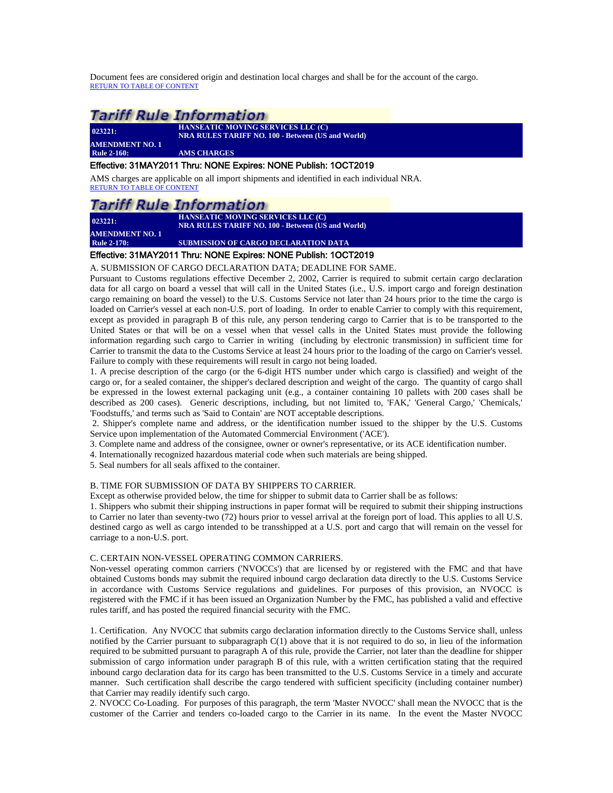Document fees are considered origin and destination local charges and shall be for the account of the cargo. [RETURN TO TABLE OF CONTENT](#page-2-0)

### **Tariff Rule Information**

| 023221:                | <b>HANSEATIC MOVING SERVICES LLC (C)</b><br><b>NRA RULES TARIFF NO. 100 - Between (US and World)</b> |
|------------------------|------------------------------------------------------------------------------------------------------|
| <b>AMENDMENT NO. 1</b> |                                                                                                      |
| <b>Rule 2-160:</b>     | <b>AMS CHARGES</b>                                                                                   |

#### <span id="page-13-0"></span>Effective: 31MAY2011 Thru: NONE Expires: NONE Publish: 1OCT2019

AMS charges are applicable on all import shipments and identified in each individual NRA. [RETURN TO TABLE OF CONTENT](#page-2-0)

### Tariff Rule Information

**023221: AMENDMENT NO. 1** **HANSEATIC MOVING SERVICES LLC (C) NRA RULES TARIFF NO. 100 - Between (US and World)**

**SUBMISSION OF CARGO DECLARATION DATA** 

### <span id="page-13-1"></span>Effective: 31MAY2011 Thru: NONE Expires: NONE Publish: 1OCT2019

A. SUBMISSION OF CARGO DECLARATION DATA; DEADLINE FOR SAME.

Pursuant to Customs regulations effective December 2, 2002, Carrier is required to submit certain cargo declaration data for all cargo on board a vessel that will call in the United States (i.e., U.S. import cargo and foreign destination cargo remaining on board the vessel) to the U.S. Customs Service not later than 24 hours prior to the time the cargo is loaded on Carrier's vessel at each non-U.S. port of loading. In order to enable Carrier to comply with this requirement, except as provided in paragraph B of this rule, any person tendering cargo to Carrier that is to be transported to the United States or that will be on a vessel when that vessel calls in the United States must provide the following information regarding such cargo to Carrier in writing (including by electronic transmission) in sufficient time for Carrier to transmit the data to the Customs Service at least 24 hours prior to the loading of the cargo on Carrier's vessel. Failure to comply with these requirements will result in cargo not being loaded.

1. A precise description of the cargo (or the 6-digit HTS number under which cargo is classified) and weight of the cargo or, for a sealed container, the shipper's declared description and weight of the cargo. The quantity of cargo shall be expressed in the lowest external packaging unit (e.g., a container containing 10 pallets with 200 cases shall be described as 200 cases). Generic descriptions, including, but not limited to, 'FAK,' 'General Cargo,' 'Chemicals,' 'Foodstuffs,' and terms such as 'Said to Contain' are NOT acceptable descriptions.

2. Shipper's complete name and address, or the identification number issued to the shipper by the U.S. Customs Service upon implementation of the Automated Commercial Environment ('ACE').

3. Complete name and address of the consignee, owner or owner's representative, or its ACE identification number.

4. Internationally recognized hazardous material code when such materials are being shipped.

5. Seal numbers for all seals affixed to the container.

#### B. TIME FOR SUBMISSION OF DATA BY SHIPPERS TO CARRIER.

Except as otherwise provided below, the time for shipper to submit data to Carrier shall be as follows:

1. Shippers who submit their shipping instructions in paper format will be required to submit their shipping instructions to Carrier no later than seventy-two (72) hours prior to vessel arrival at the foreign port of load. This applies to all U.S. destined cargo as well as cargo intended to be transshipped at a U.S. port and cargo that will remain on the vessel for carriage to a non-U.S. port.

#### C. CERTAIN NON-VESSEL OPERATING COMMON CARRIERS.

Non-vessel operating common carriers ('NVOCCs') that are licensed by or registered with the FMC and that have obtained Customs bonds may submit the required inbound cargo declaration data directly to the U.S. Customs Service in accordance with Customs Service regulations and guidelines. For purposes of this provision, an NVOCC is registered with the FMC if it has been issued an Organization Number by the FMC, has published a valid and effective rules tariff, and has posted the required financial security with the FMC.

1. Certification. Any NVOCC that submits cargo declaration information directly to the Customs Service shall, unless notified by the Carrier pursuant to subparagraph  $C(1)$  above that it is not required to do so, in lieu of the information required to be submitted pursuant to paragraph A of this rule, provide the Carrier, not later than the deadline for shipper submission of cargo information under paragraph B of this rule, with a written certification stating that the required inbound cargo declaration data for its cargo has been transmitted to the U.S. Customs Service in a timely and accurate manner. Such certification shall describe the cargo tendered with sufficient specificity (including container number) that Carrier may readily identify such cargo.

2. NVOCC Co-Loading. For purposes of this paragraph, the term 'Master NVOCC' shall mean the NVOCC that is the customer of the Carrier and tenders co-loaded cargo to the Carrier in its name. In the event the Master NVOCC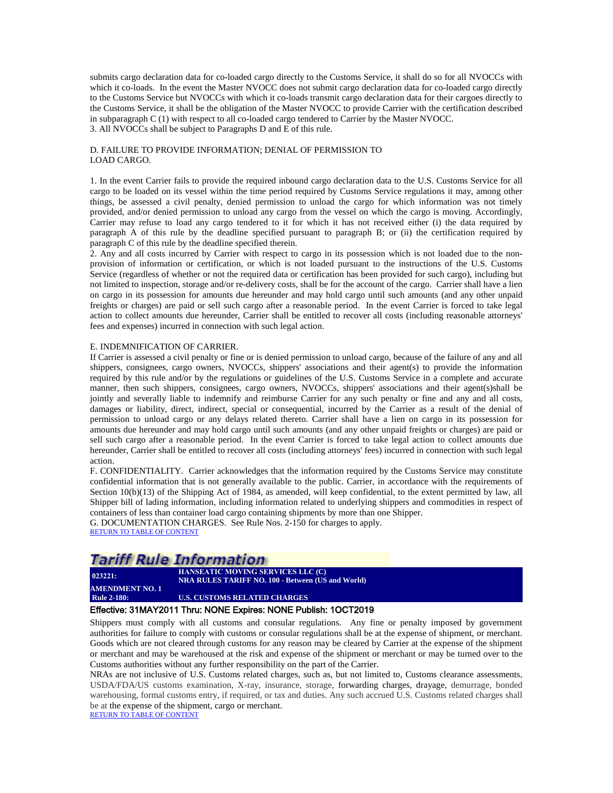submits cargo declaration data for co-loaded cargo directly to the Customs Service, it shall do so for all NVOCCs with which it co-loads. In the event the Master NVOCC does not submit cargo declaration data for co-loaded cargo directly to the Customs Service but NVOCCs with which it co-loads transmit cargo declaration data for their cargoes directly to the Customs Service, it shall be the obligation of the Master NVOCC to provide Carrier with the certification described in subparagraph C (1) with respect to all co-loaded cargo tendered to Carrier by the Master NVOCC. 3. All NVOCCs shall be subject to Paragraphs D and E of this rule.

#### D. FAILURE TO PROVIDE INFORMATION; DENIAL OF PERMISSION TO LOAD CARGO.

1. In the event Carrier fails to provide the required inbound cargo declaration data to the U.S. Customs Service for all cargo to be loaded on its vessel within the time period required by Customs Service regulations it may, among other things, be assessed a civil penalty, denied permission to unload the cargo for which information was not timely provided, and/or denied permission to unload any cargo from the vessel on which the cargo is moving. Accordingly, Carrier may refuse to load any cargo tendered to it for which it has not received either (i) the data required by paragraph A of this rule by the deadline specified pursuant to paragraph B; or (ii) the certification required by paragraph C of this rule by the deadline specified therein.

2. Any and all costs incurred by Carrier with respect to cargo in its possession which is not loaded due to the nonprovision of information or certification, or which is not loaded pursuant to the instructions of the U.S. Customs Service (regardless of whether or not the required data or certification has been provided for such cargo), including but not limited to inspection, storage and/or re-delivery costs, shall be for the account of the cargo. Carrier shall have a lien on cargo in its possession for amounts due hereunder and may hold cargo until such amounts (and any other unpaid freights or charges) are paid or sell such cargo after a reasonable period. In the event Carrier is forced to take legal action to collect amounts due hereunder, Carrier shall be entitled to recover all costs (including reasonable attorneys' fees and expenses) incurred in connection with such legal action.

#### E. INDEMNIFICATION OF CARRIER.

If Carrier is assessed a civil penalty or fine or is denied permission to unload cargo, because of the failure of any and all shippers, consignees, cargo owners, NVOCCs, shippers' associations and their agent(s) to provide the information required by this rule and/or by the regulations or guidelines of the U.S. Customs Service in a complete and accurate manner, then such shippers, consignees, cargo owners, NVOCCs, shippers' associations and their agent(s)shall be jointly and severally liable to indemnify and reimburse Carrier for any such penalty or fine and any and all costs, damages or liability, direct, indirect, special or consequential, incurred by the Carrier as a result of the denial of permission to unload cargo or any delays related thereto. Carrier shall have a lien on cargo in its possession for amounts due hereunder and may hold cargo until such amounts (and any other unpaid freights or charges) are paid or sell such cargo after a reasonable period. In the event Carrier is forced to take legal action to collect amounts due hereunder, Carrier shall be entitled to recover all costs (including attorneys' fees) incurred in connection with such legal action.

F. CONFIDENTIALITY. Carrier acknowledges that the information required by the Customs Service may constitute confidential information that is not generally available to the public. Carrier, in accordance with the requirements of Section 10(b)(13) of the Shipping Act of 1984, as amended, will keep confidential, to the extent permitted by law, all Shipper bill of lading information, including information related to underlying shippers and commodities in respect of containers of less than container load cargo containing shipments by more than one Shipper.

G. DOCUMENTATION CHARGES. See Rule Nos. 2-150 for charges to apply. [RETURN TO TABLE OF CONTENT](#page-2-0)

### **Tariff Rule Information**

**023221: HANSEATIC MOVING SERVICES LLC (C) NRA RULES TARIFF NO. 100 - Between (US and World)**

<span id="page-14-0"></span>**AMENDMENT NO. 1 U.S. CUSTOMS RELATED CHARGES** 

#### Effective: 31MAY2011 Thru: NONE Expires: NONE Publish: 1OCT2019

Shippers must comply with all customs and consular regulations. Any fine or penalty imposed by government authorities for failure to comply with customs or consular regulations shall be at the expense of shipment, or merchant. Goods which are not cleared through customs for any reason may be cleared by Carrier at the expense of the shipment or merchant and may be warehoused at the risk and expense of the shipment or merchant or may be turned over to the Customs authorities without any further responsibility on the part of the Carrier.

NRAs are not inclusive of U.S. Customs related charges, such as, but not limited to, Customs clearance assessments, USDA/FDA/US customs examination, X-ray, insurance, storage, forwarding charges, drayage, demurrage, bonded warehousing, formal customs entry, if required, or tax and duties. Any such accrued U.S. Customs related charges shall be at the expense of the shipment, cargo or merchant. [RETURN TO TABLE OF CONTENT](#page-2-0)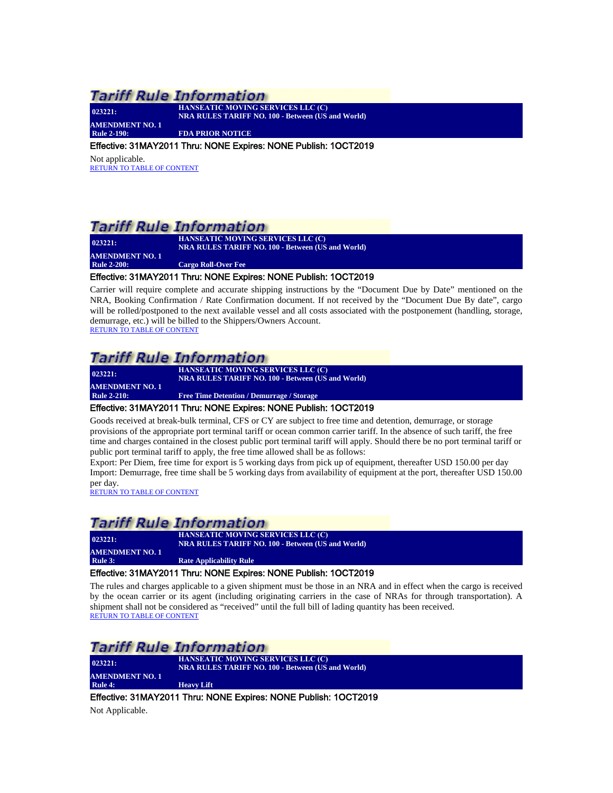**023221:** 

**HANSEATIC MOVING SERVICES LLC (C) NRA RULES TARIFF NO. 100 - Between (US and World)**

<span id="page-15-0"></span>**AMENDMENT NO. 1 FDA PRIOR NOTICE** 

#### Effective: 31MAY2011 Thru: NONE Expires: NONE Publish: 1OCT2019

Not applicable. [RETURN TO TABLE OF CONTENT](#page-2-0)

### **Tariff Rule Information**

| 023221:                | <b>HANSEATIC MOVING SERVICES LLC (C)</b>                 |
|------------------------|----------------------------------------------------------|
|                        | <b>NRA RULES TARIFF NO. 100 - Between (US and World)</b> |
| <b>AMENDMENT NO. 1</b> |                                                          |
| <b>Rule 2-200:</b>     | <b>Cargo Roll-Over Fee</b>                               |

#### <span id="page-15-1"></span>Effective: 31MAY2011 Thru: NONE Expires: NONE Publish: 1OCT2019

Carrier will require complete and accurate shipping instructions by the "Document Due by Date" mentioned on the NRA, Booking Confirmation / Rate Confirmation document. If not received by the "Document Due By date", cargo will be rolled/postponed to the next available vessel and all costs associated with the postponement (handling, storage, demurrage, etc.) will be billed to the Shippers/Owners Account. [RETURN TO TABLE OF CONTENT](#page-2-0)

# **Tariff Rule Information**

| 023221:                | <b>HANSEATIC MOVING SERVICES LLC (C)</b>                 |
|------------------------|----------------------------------------------------------|
|                        | <b>NRA RULES TARIFF NO. 100 - Between (US and World)</b> |
| <b>AMENDMENT NO. 1</b> |                                                          |
| <b>Rule 2-210:</b>     | <b>Free Time Detention / Demurrage / Storage</b>         |
|                        |                                                          |

### <span id="page-15-2"></span>Effective: 31MAY2011 Thru: NONE Expires: NONE Publish: 1OCT2019

Goods received at break-bulk terminal, CFS or CY are subject to free time and detention, demurrage, or storage provisions of the appropriate port terminal tariff or ocean common carrier tariff. In the absence of such tariff, the free time and charges contained in the closest public port terminal tariff will apply. Should there be no port terminal tariff or public port terminal tariff to apply, the free time allowed shall be as follows:

Export: Per Diem, free time for export is 5 working days from pick up of equipment, thereafter USD 150.00 per day Import: Demurrage, free time shall be 5 working days from availability of equipment at the port, thereafter USD 150.00 per day.<br>[RETURN TO TABLE OF CONTENT](#page-2-0)

### **Tariff Rule Information**

**023221: HANSEATIC MOVING SERVICES LLC (C) NRA RULES TARIFF NO. 100 - Between (US and World) AMENDMENT NO. 1**<br>Rule 3: **Rate Applicability Rule** 

#### <span id="page-15-3"></span>Effective: 31MAY2011 Thru: NONE Expires: NONE Publish: 1OCT2019

The rules and charges applicable to a given shipment must be those in an NRA and in effect when the cargo is received by the ocean carrier or its agent (including originating carriers in the case of NRAs for through transportation). A shipment shall not be considered as "received" until the full bill of lading quantity has been received. [RETURN TO TABLE OF CONTENT](#page-2-0)

### *Tariff Rule Information*

**023221: HANSEATIC MOVING SERVICES LLC (C) NRA RULES TARIFF NO. 100 - Between (US and World) AMENDMENT NO. 1**<br>Rule 4: **Heavy Lift** 

<span id="page-15-4"></span>Effective: 31MAY2011 Thru: NONE Expires: NONE Publish: 1OCT2019

Not Applicable.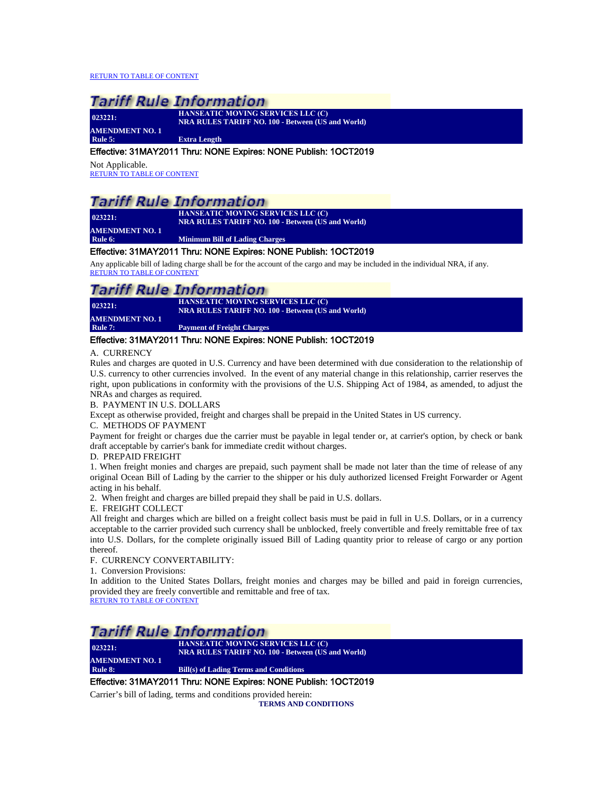[RETURN TO TABLE OF CONTENT](#page-2-0)

# **Tariff Rule Information**

| 023221:                | HANSEATIC MOVING SERVICES LLC (C)                        |
|------------------------|----------------------------------------------------------|
|                        | <b>NRA RULES TARIFF NO. 100 - Between (US and World)</b> |
| <b>AMENDMENT NO. 1</b> |                                                          |
| Rule $5:$              | <b>Extra Length</b>                                      |

#### <span id="page-16-0"></span>Effective: 31MAY2011 Thru: NONE Expires: NONE Publish: 1OCT2019

Not Applicable. [RETURN TO TABLE OF CONTENT](#page-2-0)

### Tariff Rule Information

**023221: AMENDMENT NO. 1**

**HANSEATIC MOVING SERVICES LLC (C) NRA RULES TARIFF NO. 100 - Between (US and World)**

<span id="page-16-1"></span>**Rule 6: Minimum Bill of Lading Charges**

#### Effective: 31MAY2011 Thru: NONE Expires: NONE Publish: 1OCT2019

Any applicable bill of lading charge shall be for the account of the cargo and may be included in the individual NRA, if any. [RETURN TO TABLE OF CONTENT](#page-2-0)

### *Tariff Rule Information*

| 023221:                | <b>HANSEATIC MOVING SERVICES LLC (C)</b><br><b>NRA RULES TARIFF NO. 100 - Between (US and World)</b> |
|------------------------|------------------------------------------------------------------------------------------------------|
| <b>AMENDMENT NO. 1</b> |                                                                                                      |
| Rule 7:                | <b>Payment of Freight Charges</b>                                                                    |
|                        |                                                                                                      |

#### <span id="page-16-2"></span>Effective: 31MAY2011 Thru: NONE Expires: NONE Publish: 1OCT2019

#### A. CURRENCY

Rules and charges are quoted in U.S. Currency and have been determined with due consideration to the relationship of U.S. currency to other currencies involved. In the event of any material change in this relationship, carrier reserves the right, upon publications in conformity with the provisions of the U.S. Shipping Act of 1984, as amended, to adjust the NRAs and charges as required.

#### B. PAYMENT IN U.S. DOLLARS

Except as otherwise provided, freight and charges shall be prepaid in the United States in US currency.

### C. METHODS OF PAYMENT

Payment for freight or charges due the carrier must be payable in legal tender or, at carrier's option, by check or bank draft acceptable by carrier's bank for immediate credit without charges.

#### D. PREPAID FREIGHT

1. When freight monies and charges are prepaid, such payment shall be made not later than the time of release of any original Ocean Bill of Lading by the carrier to the shipper or his duly authorized licensed Freight Forwarder or Agent acting in his behalf.

2. When freight and charges are billed prepaid they shall be paid in U.S. dollars.

E. FREIGHT COLLECT

All freight and charges which are billed on a freight collect basis must be paid in full in U.S. Dollars, or in a currency acceptable to the carrier provided such currency shall be unblocked, freely convertible and freely remittable free of tax into U.S. Dollars, for the complete originally issued Bill of Lading quantity prior to release of cargo or any portion thereof.

F. CURRENCY CONVERTABILITY:

1. Conversion Provisions:

In addition to the United States Dollars, freight monies and charges may be billed and paid in foreign currencies, provided they are freely convertible and remittable and free of tax.

[RETURN TO TABLE OF CONTENT](#page-2-0)

### Tariff Rule Information

**023221: HANSEATIC MOVING SERVICES LLC (C) NRA RULES TARIFF NO. 100 - Between (US and World) AMENDMENT NO. 1**<br>Rule 8: **Rule 8: Bill(s) of Lading Terms and Conditions**

### <span id="page-16-3"></span>Effective: 31MAY2011 Thru: NONE Expires: NONE Publish: 1OCT2019

Carrier's bill of lading, terms and conditions provided herein:

**TERMS AND CONDITIONS**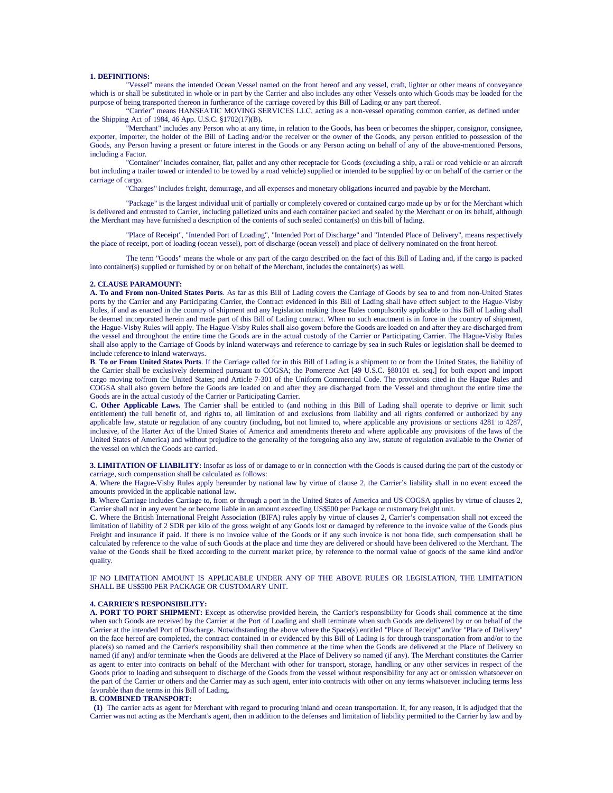#### **1. DEFINITIONS:**

Vessel" means the intended Ocean Vessel named on the front hereof and any vessel, craft, lighter or other means of conveyance which is or shall be substituted in whole or in part by the Carrier and also includes any other Vessels onto which Goods may be loaded for the purpose of being transported thereon in furtherance of the carriage covered by this Bill of Lading or any part thereof.

"Carrier" means HANSEATIC MOVING SERVICES LLC, acting as a non-vessel operating common carrier, as defined under the Shipping Act of 1984, 46 App. U.S.C. §1702(17)(B)**.** 

"Merchant" includes any Person who at any time, in relation to the Goods, has been or becomes the shipper, consignor, consignee, exporter, importer, the holder of the Bill of Lading and/or the receiver or the owner of the Goods, any person entitled to possession of the Goods, any Person having a present or future interest in the Goods or any Person acting on behalf of any of the above-mentioned Persons, including a Factor.

"Container" includes container, flat, pallet and any other receptacle for Goods (excluding a ship, a rail or road vehicle or an aircraft but including a trailer towed or intended to be towed by a road vehicle) supplied or intended to be supplied by or on behalf of the carrier or the carriage of cargo.

"Charges" includes freight, demurrage, and all expenses and monetary obligations incurred and payable by the Merchant.

"Package" is the largest individual unit of partially or completely covered or contained cargo made up by or for the Merchant which is delivered and entrusted to Carrier, including palletized units and each container packed and sealed by the Merchant or on its behalf, although the Merchant may have furnished a description of the contents of such sealed container(s) on this bill of lading.

"Place of Receipt", "Intended Port of Loading", "Intended Port of Discharge" and "Intended Place of Delivery", means respectively the place of receipt, port of loading (ocean vessel), port of discharge (ocean vessel) and place of delivery nominated on the front hereof.

The term "Goods" means the whole or any part of the cargo described on the fact of this Bill of Lading and, if the cargo is packed into container(s) supplied or furnished by or on behalf of the Merchant, includes the container(s) as well.

#### **2. CLAUSE PARAMOUNT:**

**A. To and From non-United States Ports**. As far as this Bill of Lading covers the Carriage of Goods by sea to and from non-United States ports by the Carrier and any Participating Carrier, the Contract evidenced in this Bill of Lading shall have effect subject to the Hague-Visby Rules, if and as enacted in the country of shipment and any legislation making those Rules compulsorily applicable to this Bill of Lading shall be deemed incorporated herein and made part of this Bill of Lading contract. When no such enactment is in force in the country of shipment, the Hague-Visby Rules will apply. The Hague-Visby Rules shall also govern before the Goods are loaded on and after they are discharged from the vessel and throughout the entire time the Goods are in the actual custody of the Carrier or Participating Carrier. The Hague-Visby Rules shall also apply to the Carriage of Goods by inland waterways and reference to carriage by sea in such Rules or legislation shall be deemed to include reference to inland waterways.

**B**. **To or From United States Ports**. If the Carriage called for in this Bill of Lading is a shipment to or from the United States, the liability of the Carrier shall be exclusively determined pursuant to COGSA; the Pomerene Act [49 U.S.C. §80101 et. seq.] for both export and import cargo moving to/from the United States; and Article 7-301 of the Uniform Commercial Code. The provisions cited in the Hague Rules and COGSA shall also govern before the Goods are loaded on and after they are discharged from the Vessel and throughout the entire time the Goods are in the actual custody of the Carrier or Participating Carrier.

**C. Other Applicable Laws.** The Carrier shall be entitled to (and nothing in this Bill of Lading shall operate to deprive or limit such entitlement) the full benefit of, and rights to, all limitation of and exclusions from liability and all rights conferred or authorized by any applicable law, statute or regulation of any country (including, but not limited to, where applicable any provisions or sections 4281 to 4287, inclusive, of the Harter Act of the United States of America and amendments thereto and where applicable any provisions of the laws of the United States of America) and without prejudice to the generality of the foregoing also any law, statute of regulation available to the Owner of the vessel on which the Goods are carried.

**3. LIMITATION OF LIABILITY:** Insofar as loss of or damage to or in connection with the Goods is caused during the part of the custody or carriage, such compensation shall be calculated as follows:

**A**. Where the Hague-Visby Rules apply hereunder by national law by virtue of clause 2, the Carrier's liability shall in no event exceed the amounts provided in the applicable national law.

**B**. Where Carriage includes Carriage to, from or through a port in the United States of America and US COGSA applies by virtue of clauses 2, Carrier shall not in any event be or become liable in an amount exceeding US\$500 per Package or customary freight unit.

**C**. Where the British International Freight Association (BIFA) rules apply by virtue of clauses 2, Carrier's compensation shall not exceed the limitation of liability of 2 SDR per kilo of the gross weight of any Goods lost or damaged by reference to the invoice value of the Goods plus Freight and insurance if paid. If there is no invoice value of the Goods or if any such invoice is not bona fide, such compensation shall be calculated by reference to the value of such Goods at the place and time they are delivered or should have been delivered to the Merchant. The value of the Goods shall be fixed according to the current market price, by reference to the normal value of goods of the same kind and/or quality.

IF NO LIMITATION AMOUNT IS APPLICABLE UNDER ANY OF THE ABOVE RULES OR LEGISLATION, THE LIMITATION SHALL BE US\$500 PER PACKAGE OR CUSTOMARY UNIT.

#### **4. CARRIER'S RESPONSIBILITY:**

**A. PORT TO PORT SHIPMENT:** Except as otherwise provided herein, the Carrier's responsibility for Goods shall commence at the time when such Goods are received by the Carrier at the Port of Loading and shall terminate when such Goods are delivered by or on behalf of the Carrier at the intended Port of Discharge. Notwithstanding the above where the Space(s) entitled "Place of Receipt" and/or "Place of Delivery" on the face hereof are completed, the contract contained in or evidenced by this Bill of Lading is for through transportation from and/or to the place(s) so named and the Carrier's responsibility shall then commence at the time when the Goods are delivered at the Place of Delivery so named (if any) and/or terminate when the Goods are delivered at the Place of Delivery so named (if any). The Merchant constitutes the Carrier as agent to enter into contracts on behalf of the Merchant with other for transport, storage, handling or any other services in respect of the Goods prior to loading and subsequent to discharge of the Goods from the vessel without responsibility for any act or omission whatsoever on the part of the Carrier or others and the Carrier may as such agent, enter into contracts with other on any terms whatsoever including terms less favorable than the terms in this Bill of Lading.

#### **B. COMBINED TRANSPORT:**

 **(1)** The carrier acts as agent for Merchant with regard to procuring inland and ocean transportation. If, for any reason, it is adjudged that the Carrier was not acting as the Merchant's agent, then in addition to the defenses and limitation of liability permitted to the Carrier by law and by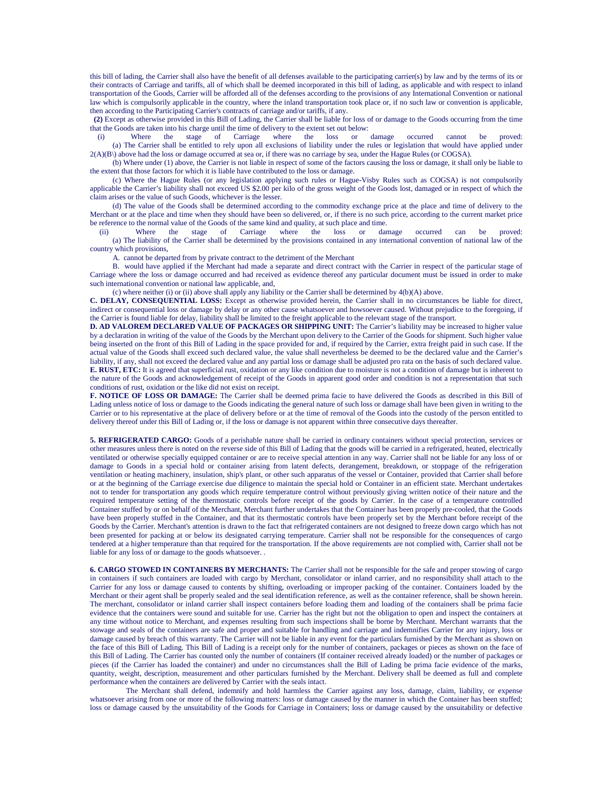this bill of lading, the Carrier shall also have the benefit of all defenses available to the participating carrier(s) by law and by the terms of its or their contracts of Carriage and tariffs, all of which shall be deemed incorporated in this bill of lading, as applicable and with respect to inland transportation of the Goods, Carrier will be afforded all of the defenses according to the provisions of any International Convention or national law which is compulsorily applicable in the country, where the inland transportation took place or, if no such law or convention is applicable, then according to the Participating Carrier's contracts of carriage and/or tariffs, if any.

 **(2)** Except as otherwise provided in this Bill of Lading, the Carrier shall be liable for loss of or damage to the Goods occurring from the time that the Goods are taken into his charge until the time of delivery to the extent set out below:<br>(i) Where the stage of Carriage where the loss or damage

 (i) Where the stage of Carriage where the loss or damage occurred cannot be proved: (a) The Carrier shall be entitled to rely upon all exclusions of liability under the rules or legislation that would have applied under  $2(A)(B)$  above had the loss or damage occurred at sea or, if there was no carriage by sea, under the Hague Rules (or COGSA).

 (b) Where under (1) above, the Carrier is not liable in respect of some of the factors causing the loss or damage, it shall only be liable to the extent that those factors for which it is liable have contributed to the loss or damage.

 (c) Where the Hague Rules (or any legislation applying such rules or Hague-Visby Rules such as COGSA) is not compulsorily applicable the Carrier's liability shall not exceed US \$2.00 per kilo of the gross weight of the Goods lost, damaged or in respect of which the claim arises or the value of such Goods, whichever is the lesser.

 (d) The value of the Goods shall be determined according to the commodity exchange price at the place and time of delivery to the Merchant or at the place and time when they should have been so delivered, or, if there is no such price, according to the current market price be reference to the normal value of the Goods of the same kind and quality, at such place and time.

 (ii) Where the stage of Carriage where the loss or damage occurred can be proved: (a) The liability of the Carrier shall be determined by the provisions contained in any international convention of national law of the country which provisions,

A. cannot be departed from by private contract to the detriment of the Merchant

 B. would have applied if the Merchant had made a separate and direct contract with the Carrier in respect of the particular stage of Carriage where the loss or damage occurred and had received as evidence thereof any particular document must be issued in order to make such international convention or national law applicable, and,

(c) where neither (i) or (ii) above shall apply any liability or the Carrier shall be determined by 4(b)(A) above.

**C. DELAY, CONSEQUENTIAL LOSS:** Except as otherwise provided herein, the Carrier shall in no circumstances be liable for direct, indirect or consequential loss or damage by delay or any other cause whatsoever and howsoever caused. Without prejudice to the foregoing, if the Carrier is found liable for delay, liability shall be limited to the freight applicable to the relevant stage of the transport.

**D. AD VALOREM DECLARED VALUE OF PACKAGES OR SHIPPING UNIT:** The Carrier's liability may be increased to higher value by a declaration in writing of the value of the Goods by the Merchant upon delivery to the Carrier of the Goods for shipment. Such higher value being inserted on the front of this Bill of Lading in the space provided for and, if required by the Carrier, extra freight paid in such case. If the actual value of the Goods shall exceed such declared value, the value shall nevertheless be deemed to be the declared value and the Carrier's liability, if any, shall not exceed the declared value and any partial loss or damage shall be adjusted pro rata on the basis of such declared value. **E. RUST, ETC:** It is agreed that superficial rust, oxidation or any like condition due to moisture is not a condition of damage but is inherent to the nature of the Goods and acknowledgement of receipt of the Goods in apparent good order and condition is not a representation that such conditions of rust, oxidation or the like did not exist on receipt.

**F. NOTICE OF LOSS OR DAMAGE:** The Carrier shall be deemed prima facie to have delivered the Goods as described in this Bill of Lading unless notice of loss or damage to the Goods indicating the general nature of such loss or damage shall have been given in writing to the Carrier or to his representative at the place of delivery before or at the time of removal of the Goods into the custody of the person entitled to delivery thereof under this Bill of Lading or, if the loss or damage is not apparent within three consecutive days thereafter.

**5. REFRIGERATED CARGO:** Goods of a perishable nature shall be carried in ordinary containers without special protection, services or other measures unless there is noted on the reverse side of this Bill of Lading that the goods will be carried in a refrigerated, heated, electrically ventilated or otherwise specially equipped container or are to receive special attention in any way. Carrier shall not be liable for any loss of or damage to Goods in a special hold or container arising from latent defects, derangement, breakdown, or stoppage of the refrigeration ventilation or heating machinery, insulation, ship's plant, or other such apparatus of the vessel or Container, provided that Carrier shall before or at the beginning of the Carriage exercise due diligence to maintain the special hold or Container in an efficient state. Merchant undertakes not to tender for transportation any goods which require temperature control without previously giving written notice of their nature and the required temperature setting of the thermostatic controls before receipt of the goods by Carrier. In the case of a temperature controlled Container stuffed by or on behalf of the Merchant, Merchant further undertakes that the Container has been properly pre-cooled, that the Goods have been properly stuffed in the Container, and that its thermostatic controls have been properly set by the Merchant before receipt of the Goods by the Carrier. Merchant's attention is drawn to the fact that refrigerated containers are not designed to freeze down cargo which has not been presented for packing at or below its designated carrying temperature. Carrier shall not be responsible for the consequences of cargo tendered at a higher temperature than that required for the transportation. If the above requirements are not complied with, Carrier shall not be liable for any loss of or damage to the goods whatsoever. .

**6. CARGO STOWED IN CONTAINERS BY MERCHANTS:** The Carrier shall not be responsible for the safe and proper stowing of cargo in containers if such containers are loaded with cargo by Merchant, consolidator or inland carrier, and no responsibility shall attach to the Carrier for any loss or damage caused to contents by shifting, overloading or improper packing of the container. Containers loaded by the Merchant or their agent shall be properly sealed and the seal identification reference, as well as the container reference, shall be shown herein. The merchant, consolidator or inland carrier shall inspect containers before loading them and loading of the containers shall be prima facie evidence that the containers were sound and suitable for use. Carrier has the right but not the obligation to open and inspect the containers at any time without notice to Merchant, and expenses resulting from such inspections shall be borne by Merchant. Merchant warrants that the stowage and seals of the containers are safe and proper and suitable for handling and carriage and indemnifies Carrier for any injury, loss or damage caused by breach of this warranty. The Carrier will not be liable in any event for the particulars furnished by the Merchant as shown on the face of this Bill of Lading. This Bill of Lading is a receipt only for the number of containers, packages or pieces as shown on the face of this Bill of Lading. The Carrier has counted only the number of containers (If container received already loaded) or the number of packages or pieces (if the Carrier has loaded the container) and under no circumstances shall the Bill of Lading be prima facie evidence of the marks, quantity, weight, description, measurement and other particulars furnished by the Merchant. Delivery shall be deemed as full and complete performance when the containers are delivered by Carrier with the seals intact.

The Merchant shall defend, indemnify and hold harmless the Carrier against any loss, damage, claim, liability, or expense whatsoever arising from one or more of the following matters: loss or damage caused by the manner in which the Container has been stuffed; loss or damage caused by the unsuitability of the Goods for Carriage in Containers; loss or damage caused by the unsuitability or defective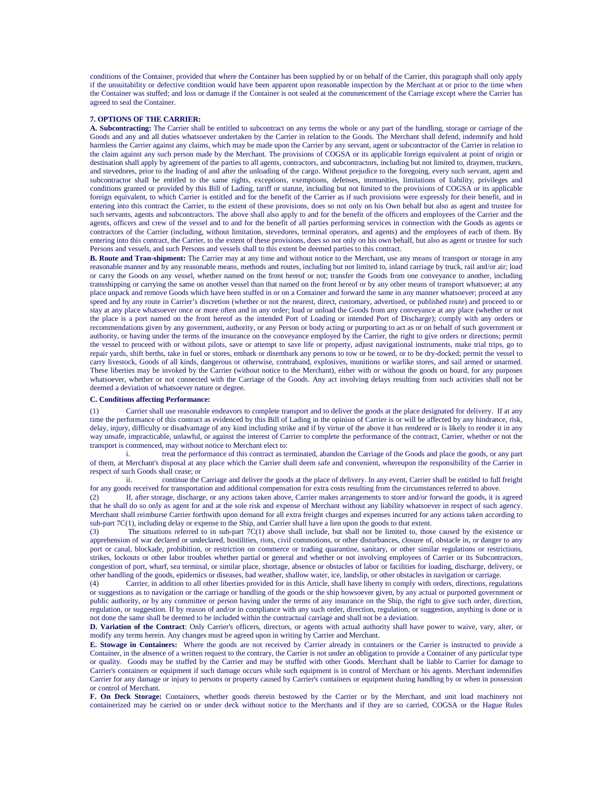conditions of the Container, provided that where the Container has been supplied by or on behalf of the Carrier, this paragraph shall only apply if the unsuitability or defective condition would have been apparent upon reasonable inspection by the Merchant at or prior to the time when the Container was stuffed; and loss or damage if the Container is not sealed at the commencement of the Carriage except where the Carrier has agreed to seal the Container.

#### **7. OPTIONS OF THE CARRIER:**

**A. Subcontracting:** The Carrier shall be entitled to subcontract on any terms the whole or any part of the handling, storage or carriage of the Goods and any and all duties whatsoever undertaken by the Carrier in relation to the Goods. The Merchant shall defend, indemnify and hold harmless the Carrier against any claims, which may be made upon the Carrier by any servant, agent or subcontractor of the Carrier in relation to the claim against any such person made by the Merchant. The provisions of COGSA or its applicable foreign equivalent at point of origin or destination shall apply by agreement of the parties to all agents, contractors, and subcontractors, including but not limited to, draymen, truckers, and stevedores, prior to the loading of and after the unloading of the cargo. Without prejudice to the foregoing, every such servant, agent and subcontractor shall be entitled to the same rights, exceptions, exemptions, defenses, immunities, limitations of liability, privileges and conditions granted or provided by this Bill of Lading, tariff or statute, including but not limited to the provisions of COGSA or its applicable foreign equivalent, to which Carrier is entitled and for the benefit of the Carrier as if such provisions were expressly for their benefit, and in entering into this contract the Carrier, to the extent of these provisions, does so not only on his Own behalf but also as agent and trustee for such servants, agents and subcontractors. The above shall also apply to and for the benefit of the officers and employees of the Carrier and the agents, officers and crew of the vessel and to and for the benefit of all parties performing services in connection with the Goods as agents or contractors of the Carrier (including, without limitation, stevedores, terminal operators, and agents) and the employees of each of them. By entering into this contract, the Carrier, to the extent of these provisions, does so not only on his own behalf, but also as agent or trustee for such Persons and vessels, and such Persons and vessels shall to this extent be deemed parties to this contract.

**B. Route and Tran-shipment:** The Carrier may at any time and without notice to the Merchant, use any means of transport or storage in any reasonable manner and by any reasonable means, methods and routes, including but not limited to, inland carriage by truck, rail and/or air; load or carry the Goods on any vessel, whether named on the front hereof or not; transfer the Goods from one conveyance to another, including transshipping or carrying the same on another vessel than that named on the front hereof or by any other means of transport whatsoever; at any place unpack and remove Goods which have been stuffed in or on a Container and forward the same in any manner whatsoever; proceed at any speed and by any route in Carrier's discretion (whether or not the nearest, direct, customary, advertised, or published route) and proceed to or stay at any place whatsoever once or more often and in any order; load or unload the Goods from any conveyance at any place (whether or not the place is a port named on the front hereof as the intended Port of Loading or intended Port of Discharge); comply with any orders or recommendations given by any government, authority, or any Person or body acting or purporting to act as or on behalf of such government or authority, or having under the terms of the insurance on the conveyance employed by the Carrier, the right to give orders or directions; permit the vessel to proceed with or without pilots, save or attempt to save life or property, adjust navigational instruments, make trial trips, go to repair yards, shift berths, take in fuel or stores, embark or disembark any persons to tow or be towed, or to be dry-docked; permit the vessel to carry livestock, Goods of all kinds, dangerous or otherwise, contraband, explosives, munitions or warlike stores, and sail armed or unarmed. These liberties may be invoked by the Carrier (without notice to the Merchant), either with or without the goods on board, for any purposes whatsoever, whether or not connected with the Carriage of the Goods. Any act involving delays resulting from such activities shall not be deemed a deviation of whatsoever nature or degree.

#### **C. Conditions affecting Performance:**

(1) Carrier shall use reasonable endeavors to complete transport and to deliver the goods at the place designated for delivery. If at any time the performance of this contract as evidenced by this Bill of Lading in the opinion of Carrier is or will be affected by any hindrance, risk, delay, injury, difficulty or disadvantage of any kind including strike and if by virtue of the above it has rendered or is likely to render it in any way unsafe, impracticable, unlawful, or against the interest of Carrier to complete the performance of the contract, Carrier, whether or not the transport is commenced, may without notice to Merchant elect to:

treat the performance of this contract as terminated, abandon the Carriage of the Goods and place the goods, or any part of them, at Merchant's disposal at any place which the Carrier shall deem safe and convenient, whereupon the responsibility of the Carrier in respect of such Goods shall cease; or

ii. continue the Carriage and deliver the goods at the place of delivery. In any event, Carrier shall be entitled to full freight

for any goods received for transportation and additional compensation for extra costs resulting from the circumstances referred to above.<br>(2) [1] If, after storage, discharge, or any actions taken above. Carrier makes arra If, after storage, discharge, or any actions taken above, Carrier makes arrangements to store and/or forward the goods, it is agreed that he shall do so only as agent for and at the sole risk and expense of Merchant without any liability whatsoever in respect of such agency. Merchant shall reimburse Carrier forthwith upon demand for all extra freight charges and expenses incurred for any actions taken according to sub-part 7C(1), including delay or expense to the Ship, and Carrier shall have a lien upon the goods to that extent.

(3) The situations referred to in sub-part  $7C(1)$  above shall include, but shall not be limited to, those caused by the existence or apprehension of war declared or undeclared, hostilities, riots, civil commotions, or other disturbances, closure of, obstacle in, or danger to any port or canal, blockade, prohibition, or restriction on commerce or trading quarantine, sanitary, or other similar regulations or restrictions, strikes, lockouts or other labor troubles whether partial or general and whether or not involving employees of Carrier or its Subcontractors, congestion of port, wharf, sea terminal, or similar place, shortage, absence or obstacles of labor or facilities for loading, discharge, delivery, or other handling of the goods, epidemics or diseases, bad weather, shallow water, ice, landslip, or other obstacles in navigation or carriage.

(4) Carrier, in addition to all other liberties provided for in this Article, shall have liberty to comply with orders, directions, regulations or suggestions as to navigation or the carriage or handling of the goods or the ship howsoever given, by any actual or purported government or public authority, or by any committee or person having under the terms of any insurance on the Ship, the right to give such order, direction, regulation, or suggestion. If by reason of and/or in compliance with any such order, direction, regulation, or suggestion, anything is done or is not done the same shall be deemed to be included within the contractual carriage and shall not be a deviation.

**D. Variation of the Contract**: Only Carrier's officers, directors, or agents with actual authority shall have power to waive, vary, alter, or modify any terms herein. Any changes must be agreed upon in writing by Carrier and Merchant.

**E. Stowage in Containers:** Where the goods are not received by Carrier already in containers or the Carrier is instructed to provide a Container, in the absence of a written request to the contrary, the Carrier is not under an obligation to provide a Container of any particular type or quality. Goods may be stuffed by the Carrier and may be stuffed with other Goods. Merchant shall be liable to Carrier for damage to Carrier's containers or equipment if such damage occurs while such equipment is in control of Merchant or his agents. Merchant indemnifies Carrier for any damage or injury to persons or property caused by Carrier's containers or equipment during handling by or when in possession or control of Merchant.

**F. On Deck Storage:** Containers, whether goods therein bestowed by the Carrier or by the Merchant, and unit load machinery not containerized may be carried on or under deck without notice to the Merchants and if they are so carried, COGSA or the Hague Rules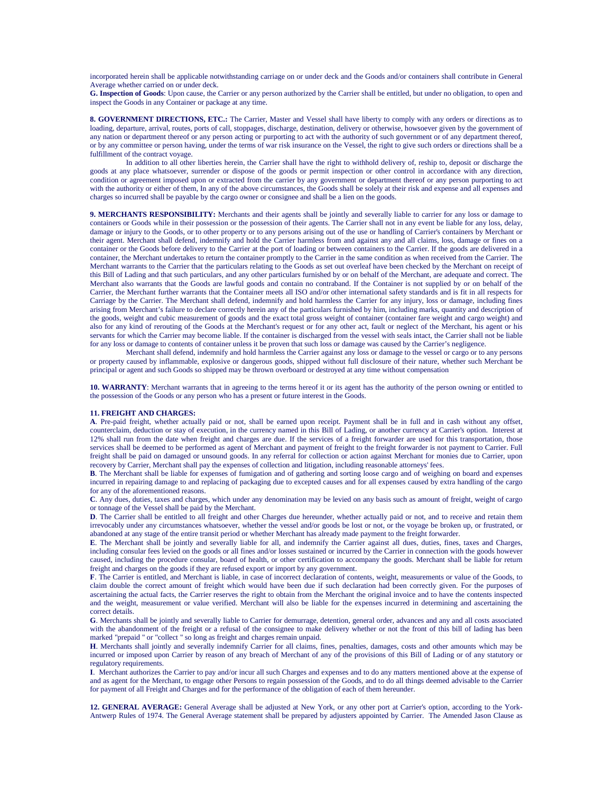incorporated herein shall be applicable notwithstanding carriage on or under deck and the Goods and/or containers shall contribute in General Average whether carried on or under deck.

**G. Inspection of Goods**: Upon cause, the Carrier or any person authorized by the Carrier shall be entitled, but under no obligation, to open and inspect the Goods in any Container or package at any time.

**8. GOVERNMENT DIRECTIONS, ETC.:** The Carrier, Master and Vessel shall have liberty to comply with any orders or directions as to loading, departure, arrival, routes, ports of call, stoppages, discharge, destination, delivery or otherwise, howsoever given by the government of any nation or department thereof or any person acting or purporting to act with the authority of such government or of any department thereof, or by any committee or person having, under the terms of war risk insurance on the Vessel, the right to give such orders or directions shall be a fulfillment of the contract voyage.

In addition to all other liberties herein, the Carrier shall have the right to withhold delivery of, reship to, deposit or discharge the goods at any place whatsoever, surrender or dispose of the goods or permit inspection or other control in accordance with any direction, condition or agreement imposed upon or extracted from the carrier by any government or department thereof or any person purporting to act with the authority or either of them, In any of the above circumstances, the Goods shall be solely at their risk and expense and all expenses and charges so incurred shall be payable by the cargo owner or consignee and shall be a lien on the goods.

**9. MERCHANTS RESPONSIBILITY:** Merchants and their agents shall be jointly and severally liable to carrier for any loss or damage to containers or Goods while in their possession or the possession of their agents. The Carrier shall not in any event be liable for any loss, delay, damage or injury to the Goods, or to other property or to any persons arising out of the use or handling of Carrier's containers by Merchant or their agent. Merchant shall defend, indemnify and hold the Carrier harmless from and against any and all claims, loss, damage or fines on a container or the Goods before delivery to the Carrier at the port of loading or between containers to the Carrier. If the goods are delivered in a container, the Merchant undertakes to return the container promptly to the Carrier in the same condition as when received from the Carrier. The Merchant warrants to the Carrier that the particulars relating to the Goods as set out overleaf have been checked by the Merchant on receipt of this Bill of Lading and that such particulars, and any other particulars furnished by or on behalf of the Merchant, are adequate and correct. The Merchant also warrants that the Goods are lawful goods and contain no contraband. If the Container is not supplied by or on behalf of the Carrier, the Merchant further warrants that the Container meets all ISO and/or other international safety standards and is fit in all respects for Carriage by the Carrier. The Merchant shall defend, indemnify and hold harmless the Carrier for any injury, loss or damage, including fines arising from Merchant's failure to declare correctly herein any of the particulars furnished by him, including marks, quantity and description of the goods, weight and cubic measurement of goods and the exact total gross weight of container (container fare weight and cargo weight) and also for any kind of rerouting of the Goods at the Merchant's request or for any other act, fault or neglect of the Merchant, his agent or his servants for which the Carrier may become liable. If the container is discharged from the vessel with seals intact, the Carrier shall not be liable for any loss or damage to contents of container unless it be proven that such loss or damage was caused by the Carrier's negligence.

Merchant shall defend, indemnify and hold harmless the Carrier against any loss or damage to the vessel or cargo or to any persons or property caused by inflammable, explosive or dangerous goods, shipped without full disclosure of their nature, whether such Merchant be principal or agent and such Goods so shipped may be thrown overboard or destroyed at any time without compensation

**10. WARRANTY**: Merchant warrants that in agreeing to the terms hereof it or its agent has the authority of the person owning or entitled to the possession of the Goods or any person who has a present or future interest in the Goods.

#### **11. FREIGHT AND CHARGES:**

**A**. Pre-paid freight, whether actually paid or not, shall be earned upon receipt. Payment shall be in full and in cash without any offset, counterclaim, deduction or stay of execution, in the currency named in this Bill of Lading, or another currency at Carrier's option. Interest at 12% shall run from the date when freight and charges are due. If the services of a freight forwarder are used for this transportation, those services shall be deemed to be performed as agent of Merchant and payment of freight to the freight forwarder is not payment to Carrier. Full freight shall be paid on damaged or unsound goods. In any referral for collection or action against Merchant for monies due to Carrier, upon recovery by Carrier, Merchant shall pay the expenses of collection and litigation, including reasonable attorneys' fees.

**B**. The Merchant shall be liable for expenses of fumigation and of gathering and sorting loose cargo and of weighing on board and expenses incurred in repairing damage to and replacing of packaging due to excepted causes and for all expenses caused by extra handling of the cargo for any of the aforementioned reasons.

**C**. Any dues, duties, taxes and charges, which under any denomination may be levied on any basis such as amount of freight, weight of cargo or tonnage of the Vessel shall be paid by the Merchant.

**D**. The Carrier shall be entitled to all freight and other Charges due hereunder, whether actually paid or not, and to receive and retain them irrevocably under any circumstances whatsoever, whether the vessel and/or goods be lost or not, or the voyage be broken up, or frustrated, or abandoned at any stage of the entire transit period or whether Merchant has already made payment to the freight forwarder.

**E**. The Merchant shall be jointly and severally liable for all, and indemnify the Carrier against all dues, duties, fines, taxes and Charges, including consular fees levied on the goods or all fines and/or losses sustained or incurred by the Carrier in connection with the goods however caused, including the procedure consular, board of health, or other certification to accompany the goods. Merchant shall be liable for return freight and charges on the goods if they are refused export or import by any government.

**F**. The Carrier is entitled, and Merchant is liable, in case of incorrect declaration of contents, weight, measurements or value of the Goods, to claim double the correct amount of freight which would have been due if such declaration had been correctly given. For the purposes of ascertaining the actual facts, the Carrier reserves the right to obtain from the Merchant the original invoice and to have the contents inspected and the weight, measurement or value verified. Merchant will also be liable for the expenses incurred in determining and ascertaining the correct details.

**G**. Merchants shall be jointly and severally liable to Carrier for demurrage, detention, general order, advances and any and all costs associated with the abandonment of the freight or a refusal of the consignee to make delivery whether or not the front of this bill of lading has been marked "prepaid " or "collect " so long as freight and charges remain unpaid.

**H**. Merchants shall jointly and severally indemnify Carrier for all claims, fines, penalties, damages, costs and other amounts which may be incurred or imposed upon Carrier by reason of any breach of Merchant of any of the provisions of this Bill of Lading or of any statutory or regulatory requirements.

**I**. Merchant authorizes the Carrier to pay and/or incur all such Charges and expenses and to do any matters mentioned above at the expense of and as agent for the Merchant, to engage other Persons to regain possession of the Goods, and to do all things deemed advisable to the Carrier for payment of all Freight and Charges and for the performance of the obligation of each of them hereunder.

**12. GENERAL AVERAGE:** General Average shall be adjusted at New York, or any other port at Carrier's option, according to the York-Antwerp Rules of 1974. The General Average statement shall be prepared by adjusters appointed by Carrier. The Amended Jason Clause as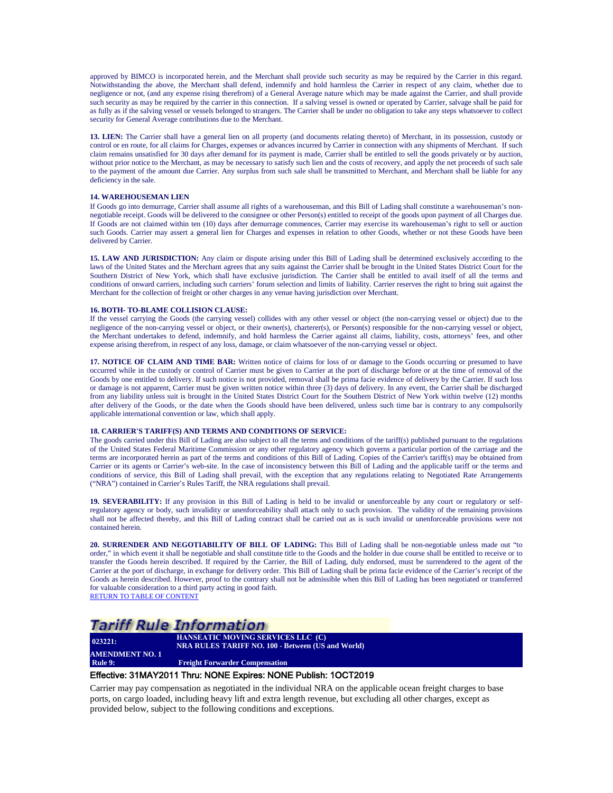approved by BIMCO is incorporated herein, and the Merchant shall provide such security as may be required by the Carrier in this regard. Notwithstanding the above, the Merchant shall defend, indemnify and hold harmless the Carrier in respect of any claim, whether due to negligence or not, (and any expense rising therefrom) of a General Average nature which may be made against the Carrier, and shall provide such security as may be required by the carrier in this connection. If a salving vessel is owned or operated by Carrier, salvage shall be paid for as fully as if the salving vessel or vessels belonged to strangers. The Carrier shall be under no obligation to take any steps whatsoever to collect security for General Average contributions due to the Merchant.

13. LIEN: The Carrier shall have a general lien on all property (and documents relating thereto) of Merchant, in its possession, custody or control or en route, for all claims for Charges, expenses or advances incurred by Carrier in connection with any shipments of Merchant. If such claim remains unsatisfied for 30 days after demand for its payment is made, Carrier shall be entitled to sell the goods privately or by auction, without prior notice to the Merchant, as may be necessary to satisfy such lien and the costs of recovery, and apply the net proceeds of such sale to the payment of the amount due Carrier. Any surplus from such sale shall be transmitted to Merchant, and Merchant shall be liable for any deficiency in the sale.

#### **14. WAREHOUSEMAN LIEN**

If Goods go into demurrage, Carrier shall assume all rights of a warehouseman, and this Bill of Lading shall constitute a warehouseman's nonnegotiable receipt. Goods will be delivered to the consignee or other Person(s) entitled to receipt of the goods upon payment of all Charges due. If Goods are not claimed within ten (10) days after demurrage commences, Carrier may exercise its warehouseman's right to sell or auction such Goods. Carrier may assert a general lien for Charges and expenses in relation to other Goods, whether or not these Goods have been delivered by Carrier.

**15. LAW AND JURISDICTION:** Any claim or dispute arising under this Bill of Lading shall be determined exclusively according to the laws of the United States and the Merchant agrees that any suits against the Carrier shall be brought in the United States District Court for the Southern District of New York, which shall have exclusive jurisdiction. The Carrier shall be entitled to avail itself of all the terms and conditions of onward carriers, including such carriers' forum selection and limits of liability. Carrier reserves the right to bring suit against the Merchant for the collection of freight or other charges in any venue having jurisdiction over Merchant.

#### **16. BOTH- TO-BLAME COLLISION CLAUSE:**

If the vessel carrying the Goods (the carrying vessel) collides with any other vessel or object (the non-carrying vessel or object) due to the negligence of the non-carrying vessel or object, or their owner(s), charterer(s), or Person(s) responsible for the non-carrying vessel or object, the Merchant undertakes to defend, indemnify, and hold harmless the Carrier against all claims, liability, costs, attorneys' fees, and other expense arising therefrom, in respect of any loss, damage, or claim whatsoever of the non-carrying vessel or object.

**17. NOTICE OF CLAIM AND TIME BAR:** Written notice of claims for loss of or damage to the Goods occurring or presumed to have occurred while in the custody or control of Carrier must be given to Carrier at the port of discharge before or at the time of removal of the Goods by one entitled to delivery. If such notice is not provided, removal shall be prima facie evidence of delivery by the Carrier. If such loss or damage is not apparent, Carrier must be given written notice within three (3) days of delivery. In any event, the Carrier shall be discharged from any liability unless suit is brought in the United States District Court for the Southern District of New York within twelve (12) months after delivery of the Goods, or the date when the Goods should have been delivered, unless such time bar is contrary to any compulsorily applicable international convention or law, which shall apply.

#### **18. CARRIER'S TARIFF(S) AND TERMS AND CONDITIONS OF SERVICE:**

The goods carried under this Bill of Lading are also subject to all the terms and conditions of the tariff(s) published pursuant to the regulations of the United States Federal Maritime Commission or any other regulatory agency which governs a particular portion of the carriage and the terms are incorporated herein as part of the terms and conditions of this Bill of Lading. Copies of the Carrier's tariff(s) may be obtained from Carrier or its agents or Carrier's web-site. In the case of inconsistency between this Bill of Lading and the applicable tariff or the terms and conditions of service, this Bill of Lading shall prevail, with the exception that any regulations relating to Negotiated Rate Arrangements ("NRA") contained in Carrier's Rules Tariff, the NRA regulations shall prevail.

**19. SEVERABILITY:** If any provision in this Bill of Lading is held to be invalid or unenforceable by any court or regulatory or selfregulatory agency or body, such invalidity or unenforceability shall attach only to such provision. The validity of the remaining provisions shall not be affected thereby, and this Bill of Lading contract shall be carried out as is such invalid or unenforceable provisions were not contained herein.

**20. SURRENDER AND NEGOTIABILITY OF BILL OF LADING:** This Bill of Lading shall be non-negotiable unless made out "to order," in which event it shall be negotiable and shall constitute title to the Goods and the holder in due course shall be entitled to receive or to transfer the Goods herein described. If required by the Carrier, the Bill of Lading, duly endorsed, must be surrendered to the agent of the Carrier at the port of discharge, in exchange for delivery order. This Bill of Lading shall be prima facie evidence of the Carrier's receipt of the Goods as herein described. However, proof to the contrary shall not be admissible when this Bill of Lading has been negotiated or transferred for valuable consideration to a third party acting in good faith. [RETURN TO TABLE OF CONTENT](#page-2-0)

### Tariff Rule Information

**023221: AMENDMENT NO. 1**

**HANSEATIC MOVING SERVICES LLC (C) NRA RULES TARIFF NO. 100 - Between (US and World)**

<span id="page-21-0"></span>**Freight Forwarder Compensation** 

#### Effective: 31MAY2011 Thru: NONE Expires: NONE Publish: 1OCT2019

Carrier may pay compensation as negotiated in the individual NRA on the applicable ocean freight charges to base ports, on cargo loaded, including heavy lift and extra length revenue, but excluding all other charges, except as provided below, subject to the following conditions and exceptions.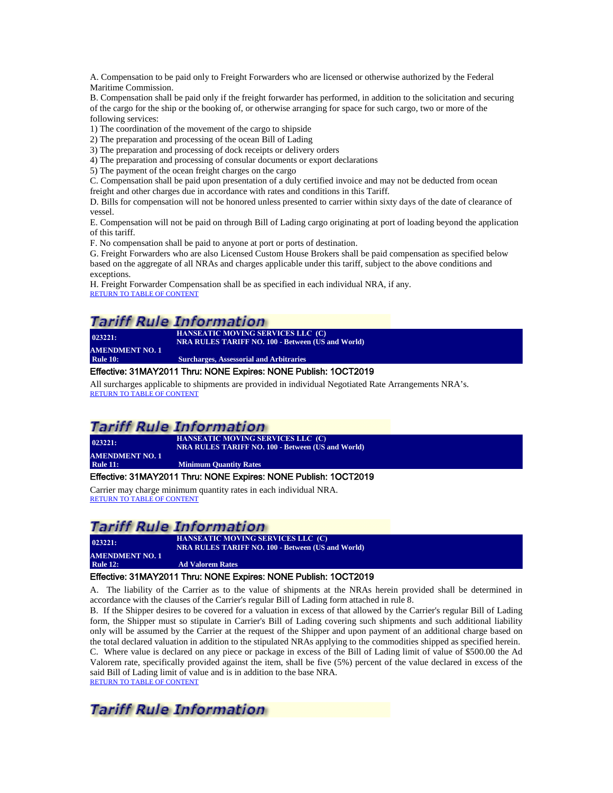A. Compensation to be paid only to Freight Forwarders who are licensed or otherwise authorized by the Federal Maritime Commission.

B. Compensation shall be paid only if the freight forwarder has performed, in addition to the solicitation and securing of the cargo for the ship or the booking of, or otherwise arranging for space for such cargo, two or more of the following services:

1) The coordination of the movement of the cargo to shipside

2) The preparation and processing of the ocean Bill of Lading

3) The preparation and processing of dock receipts or delivery orders

4) The preparation and processing of consular documents or export declarations

5) The payment of the ocean freight charges on the cargo

C. Compensation shall be paid upon presentation of a duly certified invoice and may not be deducted from ocean freight and other charges due in accordance with rates and conditions in this Tariff.

D. Bills for compensation will not be honored unless presented to carrier within sixty days of the date of clearance of vessel.

E. Compensation will not be paid on through Bill of Lading cargo originating at port of loading beyond the application of this tariff.

F. No compensation shall be paid to anyone at port or ports of destination.

G. Freight Forwarders who are also Licensed Custom House Brokers shall be paid compensation as specified below based on the aggregate of all NRAs and charges applicable under this tariff, subject to the above conditions and exceptions.

H. Freight Forwarder Compensation shall be as specified in each individual NRA, if any.<br>[RETURN TO TABLE OF CONTENT](#page-2-0)

# **Tariff Rule Information**

| 023221:                | <b>HANSEATIC MOVING SERVICES LLC (C)</b><br><b>NRA RULES TARIFF NO. 100 - Between (US and World)</b> |
|------------------------|------------------------------------------------------------------------------------------------------|
| <b>AMENDMENT NO. 1</b> |                                                                                                      |
| <b>Rule 10:</b>        | <b>Surcharges, Assessorial and Arbitraries</b>                                                       |
|                        |                                                                                                      |

#### <span id="page-22-0"></span>Effective: 31MAY2011 Thru: NONE Expires: NONE Publish: 1OCT2019

All surcharges applicable to shipments are provided in individual Negotiated Rate Arrangements NRA's. [RETURN TO TABLE OF CONTENT](#page-2-0)

### *Tariff Rule Information*

**023221: HANSEATIC MOVING SERVICES LLC (C) NRA RULES TARIFF NO. 100 - Between (US and World) AMENDMENT NO. 1**

<span id="page-22-1"></span>**Rule 11: Minimum Quantity Rates**

#### Effective: 31MAY2011 Thru: NONE Expires: NONE Publish: 1OCT2019

Carrier may charge minimum quantity rates in each individual NRA. [RETURN TO TABLE OF CONTENT](#page-2-0)

# **Tariff Rule Information**

**HANSEATIC MOVING SERVICES LLC (C) NRA RULES TARIFF NO. 100 - Between (US and World)**

<span id="page-22-2"></span>**AMENDMENT NO. 1**<br>Rule 12: **Ad Valorem Rates** 

**023221:** 

### Effective: 31MAY2011 Thru: NONE Expires: NONE Publish: 1OCT2019

A. The liability of the Carrier as to the value of shipments at the NRAs herein provided shall be determined in accordance with the clauses of the Carrier's regular Bill of Lading form attached in rule 8.

B. If the Shipper desires to be covered for a valuation in excess of that allowed by the Carrier's regular Bill of Lading form, the Shipper must so stipulate in Carrier's Bill of Lading covering such shipments and such additional liability only will be assumed by the Carrier at the request of the Shipper and upon payment of an additional charge based on the total declared valuation in addition to the stipulated NRAs applying to the commodities shipped as specified herein. C. Where value is declared on any piece or package in excess of the Bill of Lading limit of value of \$500.00 the Ad Valorem rate, specifically provided against the item, shall be five (5%) percent of the value declared in excess of the said Bill of Lading limit of value and is in addition to the base NRA. [RETURN TO TABLE OF CONTENT](#page-2-0)

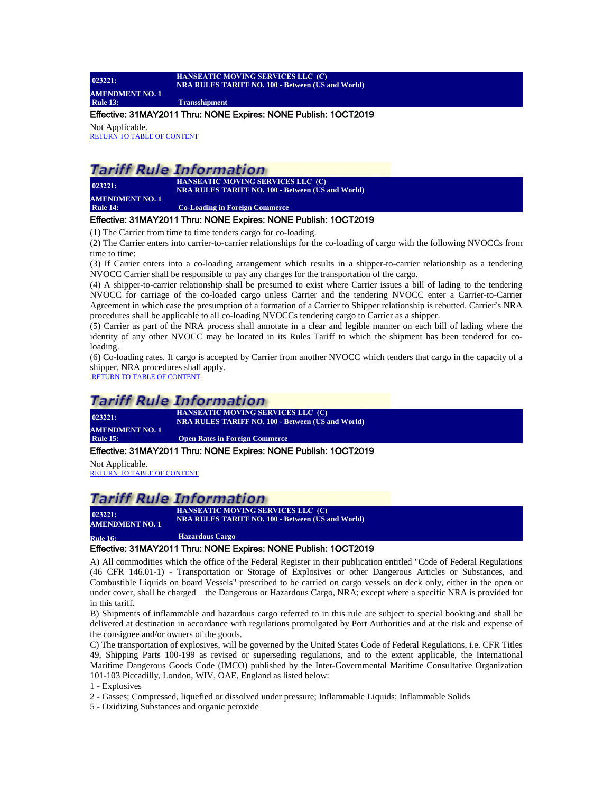#### **023221: HANSEATIC MOVING SERVICES LLC (C) NRA RULES TARIFF NO. 100 - Between (US and World) AMENDMENT NO. 1 Rule 13: Transshipment**

#### <span id="page-23-0"></span>Effective: 31MAY2011 Thru: NONE Expires: NONE Publish: 1OCT2019

Not Applicable. [RETURN TO TABLE OF CONTENT](#page-2-0)

### **Tariff Rule Information**

**023221: AMENDMENT NO. 1**

**HANSEATIC MOVING SERVICES LLC (C) NRA RULES TARIFF NO. 100 - Between (US and World) Co-Loading in Foreign Commerce** 

#### <span id="page-23-1"></span>Effective: 31MAY2011 Thru: NONE Expires: NONE Publish: 1OCT2019

(1) The Carrier from time to time tenders cargo for co-loading.

(2) The Carrier enters into carrier-to-carrier relationships for the co-loading of cargo with the following NVOCCs from time to time:

(3) If Carrier enters into a co-loading arrangement which results in a shipper-to-carrier relationship as a tendering NVOCC Carrier shall be responsible to pay any charges for the transportation of the cargo.

(4) A shipper-to-carrier relationship shall be presumed to exist where Carrier issues a bill of lading to the tendering NVOCC for carriage of the co-loaded cargo unless Carrier and the tendering NVOCC enter a Carrier-to-Carrier Agreement in which case the presumption of a formation of a Carrier to Shipper relationship is rebutted. Carrier's NRA procedures shall be applicable to all co-loading NVOCCs tendering cargo to Carrier as a shipper.

(5) Carrier as part of the NRA process shall annotate in a clear and legible manner on each bill of lading where the identity of any other NVOCC may be located in its Rules Tariff to which the shipment has been tendered for coloading.

(6) Co-loading rates. If cargo is accepted by Carrier from another NVOCC which tenders that cargo in the capacity of a shipper, NRA procedures shall apply.

[.RETURN TO TABLE OF CONTENT](#page-2-0)

### **Tariff Rule Information**

**023221: HANSEATIC MOVING SERVICES LLC (C) NRA RULES TARIFF NO. 100 - Between (US and World) AMENDMENT NO. 1**<br>Rule 15: **Open Rates in Foreign Commerce** 

#### <span id="page-23-2"></span>Effective: 31MAY2011 Thru: NONE Expires: NONE Publish: 1OCT2019

Not Applicable. [RETURN TO TABLE OF CONTENT](#page-2-0)

### Tariff Rule Information

**HANSEATIC MOVING SERVICES LLC (C) NANSEATIC MOVING SERVICES LLC (C)**<br> **NRA RULES TARIFF NO. 100 - Between** (US and World) **AMENDMENT NO. 1** 

<span id="page-23-3"></span>**Rule 16: Hazardous Cargo**

#### Effective: 31MAY2011 Thru: NONE Expires: NONE Publish: 1OCT2019

A) All commodities which the office of the Federal Register in their publication entitled "Code of Federal Regulations (46 CFR 146.01-1) - Transportation or Storage of Explosives or other Dangerous Articles or Substances, and Combustible Liquids on board Vessels" prescribed to be carried on cargo vessels on deck only, either in the open or under cover, shall be charged the Dangerous or Hazardous Cargo, NRA; except where a specific NRA is provided for in this tariff.

B) Shipments of inflammable and hazardous cargo referred to in this rule are subject to special booking and shall be delivered at destination in accordance with regulations promulgated by Port Authorities and at the risk and expense of the consignee and/or owners of the goods.

C) The transportation of explosives, will be governed by the United States Code of Federal Regulations, i.e. CFR Titles 49, Shipping Parts 100-199 as revised or superseding regulations, and to the extent applicable, the International Maritime Dangerous Goods Code (IMCO) published by the Inter-Governmental Maritime Consultative Organization 101-103 Piccadilly, London, WIV, OAE, England as listed below:

1 - Explosives

2 - Gasses; Compressed, liquefied or dissolved under pressure; Inflammable Liquids; Inflammable Solids

5 - Oxidizing Substances and organic peroxide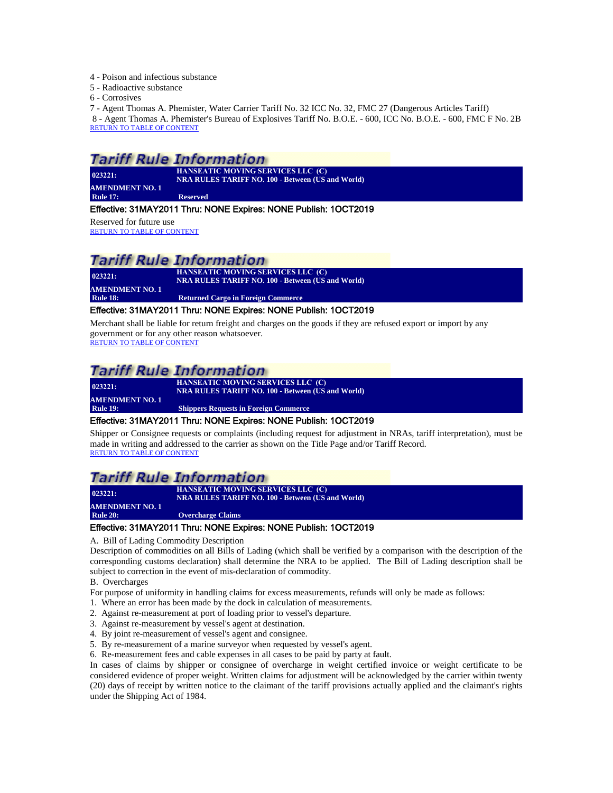- 4 Poison and infectious substance
- 5 Radioactive substance

6 - Corrosives

7 - Agent Thomas A. Phemister, Water Carrier Tariff No. 32 ICC No. 32, FMC 27 (Dangerous Articles Tariff) 8 - Agent Thomas A. Phemister's Bureau of Explosives Tariff No. B.O.E. - 600, ICC No. B.O.E. - 600, FMC F No. 2B [RETURN TO TABLE OF CONTENT](#page-2-0)

### Tariff Rule Information

**023221: AMENDMENT NO. 1**<br>Rule 17: **HANSEATIC MOVING SERVICES LLC (C) NRA RULES TARIFF NO. 100 - Between (US and World)**

**Reserved** 

#### <span id="page-24-0"></span>Effective: 31MAY2011 Thru: NONE Expires: NONE Publish: 1OCT2019

Reserved for future use [RETURN TO TABLE OF CONTENT](#page-2-0)

### **Tariff Rule Information**

**023221: HANSEATIC MOVING SERVICES LLC (C) NRA RULES TARIFF NO. 100 - Between (US and World) AMENDMENT NO. 1**<br>Rule 18:

<span id="page-24-1"></span>**Returned Cargo in Foreign Commerce** 

#### Effective: 31MAY2011 Thru: NONE Expires: NONE Publish: 1OCT2019

Merchant shall be liable for return freight and charges on the goods if they are refused export or import by any government or for any other reason whatsoever.

[RETURN TO TABLE OF CONTENT](#page-2-0)

### **Tariff Rule Information**

**023221: HANSEATIC MOVING SERVICES LLC (C) NRA RULES TARIFF NO. 100 - Between (US and World) AMENDMENT NO. 1 Shippers Requests in Foreign Commerce** 

### <span id="page-24-2"></span>Effective: 31MAY2011 Thru: NONE Expires: NONE Publish: 1OCT2019

Shipper or Consignee requests or complaints (including request for adjustment in NRAs, tariff interpretation), must be made in writing and addressed to the carrier as shown on the Title Page and/or Tariff Record. [RETURN TO TABLE OF CONTENT](#page-2-0)

# Tariff Rule Information

**023221: HANSEATIC MOVING SERVICES LLC (C) NRA RULES TARIFF NO. 100 - Between (US and World) AMENDMENT NO. 1 Rule 20: Overcharge Claims**

### <span id="page-24-3"></span>Effective: 31MAY2011 Thru: NONE Expires: NONE Publish: 1OCT2019

A. Bill of Lading Commodity Description

Description of commodities on all Bills of Lading (which shall be verified by a comparison with the description of the corresponding customs declaration) shall determine the NRA to be applied. The Bill of Lading description shall be subject to correction in the event of mis-declaration of commodity.

B. Overcharges

For purpose of uniformity in handling claims for excess measurements, refunds will only be made as follows:

- 1. Where an error has been made by the dock in calculation of measurements.
- 2. Against re-measurement at port of loading prior to vessel's departure.
- 3. Against re-measurement by vessel's agent at destination.
- 4. By joint re-measurement of vessel's agent and consignee.
- 5. By re-measurement of a marine surveyor when requested by vessel's agent.

6. Re-measurement fees and cable expenses in all cases to be paid by party at fault.

In cases of claims by shipper or consignee of overcharge in weight certified invoice or weight certificate to be considered evidence of proper weight. Written claims for adjustment will be acknowledged by the carrier within twenty (20) days of receipt by written notice to the claimant of the tariff provisions actually applied and the claimant's rights under the Shipping Act of 1984.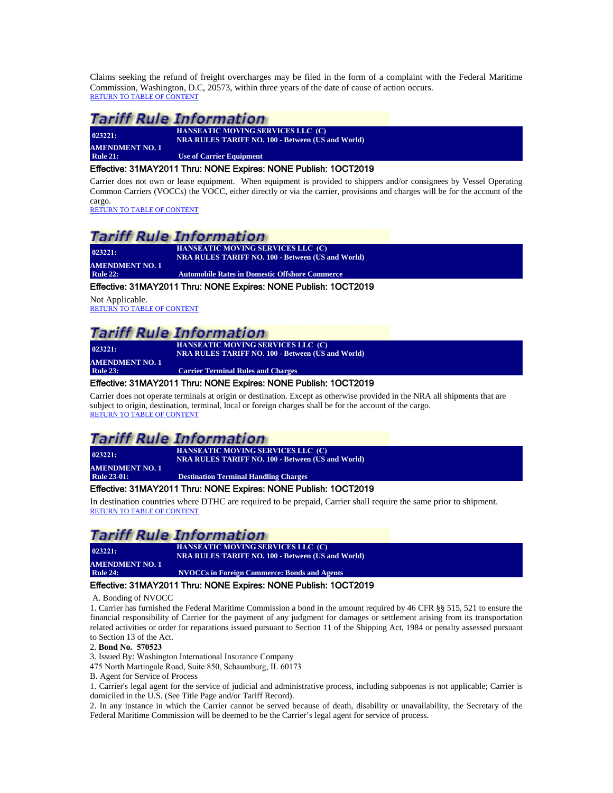Claims seeking the refund of freight overcharges may be filed in the form of a complaint with the Federal Maritime Commission, Washington, D.C, 20573, within three years of the date of cause of action occurs. [RETURN TO TABLE OF CONTENT](#page-2-0)

### Tariff Rule Information

**023221: AMENDMENT NO. 1**<br>Rule 21:

**HANSEATIC MOVING SERVICES LLC (C) NRA RULES TARIFF NO. 100 - Between (US and World)**

**Use of Carrier Equipment** 

#### <span id="page-25-0"></span>Effective: 31MAY2011 Thru: NONE Expires: NONE Publish: 1OCT2019

Carrier does not own or lease equipment. When equipment is provided to shippers and/or consignees by Vessel Operating Common Carriers (VOCCs) the VOCC, either directly or via the carrier, provisions and charges will be for the account of the cargo.

[RETURN TO TABLE OF CONTENT](#page-2-0)

### *Tariff Rule Information*

**023221: HANSEATIC MOVING SERVICES LLC (C) NRA RULES TARIFF NO. 100 - Between (US and World) AMENDMENT NO. 1**<br>Rule 22: **Automobile Rates in Domestic Offshore Commerce** 

#### <span id="page-25-1"></span>Effective: 31MAY2011 Thru: NONE Expires: NONE Publish: 1OCT2019

Not Applicable. [RETURN TO TABLE OF CONTENT](#page-2-0)

**023221:** 

### Tariff Rule Information

**HANSEATIC MOVING SERVICES LLC (C) NRA RULES TARIFF NO. 100 - Between (US and World)**

<span id="page-25-2"></span>**AMENDMENT NO. 1**<br>Rule 23: **Carrier Terminal Rules and Charges** 

#### Effective: 31MAY2011 Thru: NONE Expires: NONE Publish: 1OCT2019

Carrier does not operate terminals at origin or destination. Except as otherwise provided in the NRA all shipments that are subject to origin, destination, terminal, local or foreign charges shall be for the account of the cargo. [RETURN TO TABLE OF CONTENT](#page-2-0)

### Tariff Rule Information

**023221: HANSEATIC MOVING SERVICES LLC (C) NRA RULES TARIFF NO. 100 - Between (US and World) AMENDMENT NO. 1 Destination Terminal Handling Charges** 

#### <span id="page-25-3"></span>Effective: 31MAY2011 Thru: NONE Expires: NONE Publish: 1OCT2019

In destination countries where DTHC are required to be prepaid, Carrier shall require the same prior to shipment. [RETURN TO TABLE OF CONTENT](#page-2-0)

### *Tariff Rule Information*

**023221: HANSEATIC MOVING SERVICES LLC (C) NRA RULES TARIFF NO. 100 - Between (US and World) AMENDMENT NO. 1 Rule 24: NVOCCs in Foreign Commerce: Bonds and Agents**

#### <span id="page-25-4"></span>Effective: 31MAY2011 Thru: NONE Expires: NONE Publish: 1OCT2019

A. Bonding of NVOCC

1. Carrier has furnished the Federal Maritime Commission a bond in the amount required by 46 CFR §§ 515, 521 to ensure the financial responsibility of Carrier for the payment of any judgment for damages or settlement arising from its transportation related activities or order for reparations issued pursuant to Section 11 of the Shipping Act, 1984 or penalty assessed pursuant to Section 13 of the Act.

2. **Bond No. 570523**

3. Issued By: Washington International Insurance Company

475 North Martingale Road, Suite 850, Schaumburg, IL 60173

B. Agent for Service of Process

1. Carrier's legal agent for the service of judicial and administrative process, including subpoenas is not applicable; Carrier is domiciled in the U.S. (See Title Page and/or Tariff Record).

2. In any instance in which the Carrier cannot be served because of death, disability or unavailability, the Secretary of the Federal Maritime Commission will be deemed to be the Carrier's legal agent for service of process.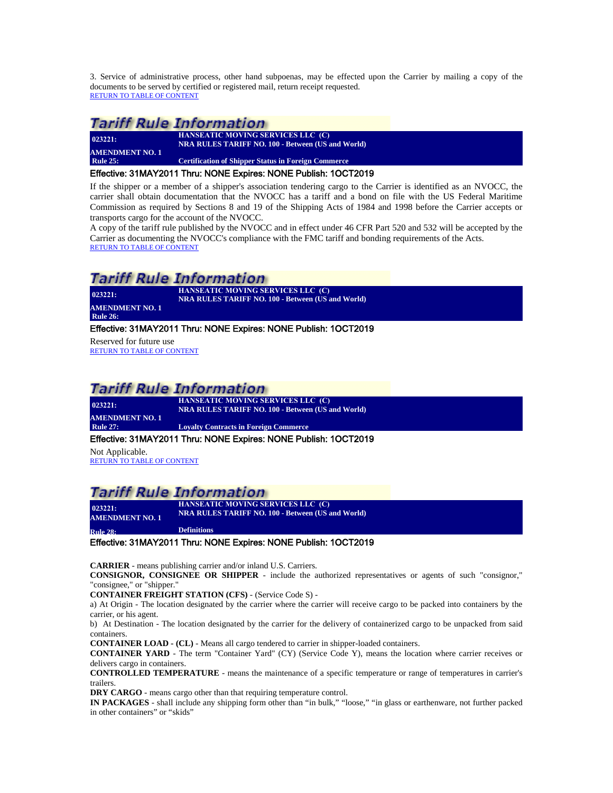3. Service of administrative process, other hand subpoenas, may be effected upon the Carrier by mailing a copy of the documents to be served by certified or registered mail, return receipt requested. [RETURN TO TABLE OF CONTENT](#page-2-0)

### **Tariff Rule Information**

| 023221:                | HANSEATIC MOVING SERVICES LLC (C)<br><b>NRA RULES TARIFF NO. 100 - Between (US and World)</b> |  |  |
|------------------------|-----------------------------------------------------------------------------------------------|--|--|
| <b>AMENDMENT NO. 1</b> |                                                                                               |  |  |
| <b>Rule 25:</b>        | <b>Certification of Shipper Status in Foreign Commerce</b>                                    |  |  |
|                        |                                                                                               |  |  |

#### <span id="page-26-0"></span>Effective: 31MAY2011 Thru: NONE Expires: NONE Publish: 1OCT2019

If the shipper or a member of a shipper's association tendering cargo to the Carrier is identified as an NVOCC, the carrier shall obtain documentation that the NVOCC has a tariff and a bond on file with the US Federal Maritime Commission as required by Sections 8 and 19 of the Shipping Acts of 1984 and 1998 before the Carrier accepts or transports cargo for the account of the NVOCC.

A copy of the tariff rule published by the NVOCC and in effect under 46 CFR Part 520 and 532 will be accepted by the Carrier as documenting the NVOCC's compliance with the FMC tariff and bonding requirements of the Acts. [RETURN TO TABLE OF CONTENT](#page-2-0)

### Tariff Rule Information

**023221: HANSEATIC MOVING SERVICES LLC (C) NRA RULES TARIFF NO. 100 - Between (US and World) AMENDMENT NO. 1 Rule 26:** 

#### <span id="page-26-1"></span>Effective: 31MAY2011 Thru: NONE Expires: NONE Publish: 1OCT2019

Reserved for future use [RETURN TO TABLE OF CONTENT](#page-2-0)

### **Tariff Rule Information**

**023221: AMENDMENT NO. 1**<br>Rule 27: **HANSEATIC MOVING SERVICES LLC (C) NRA RULES TARIFF NO. 100 - Between (US and World) Loyalty Contracts in Foreign Commerce** 

#### <span id="page-26-2"></span>Effective: 31MAY2011 Thru: NONE Expires: NONE Publish: 1OCT2019

Not Applicable. [RETURN TO TABLE OF CONTENT](#page-2-0)

### **Tariff Rule Information**

**AMENDMENT NO. 1** 

**HANSEATIC MOVING SERVICES LLC (C) NRA RULES TARIFF NO. 100 · BETWEEN (US and World)**<br> **NRA RULES TARIFF NO. 100 - Between (US and World)** 

<span id="page-26-3"></span>**Rule 28: Definitions**

### Effective: 31MAY2011 Thru: NONE Expires: NONE Publish: 1OCT2019

**CARRIER** - means publishing carrier and/or inland U.S. Carriers.

**CONSIGNOR, CONSIGNEE OR SHIPPER** - include the authorized representatives or agents of such "consignor," "consignee," or "shipper."

**CONTAINER FREIGHT STATION (CFS)** - (Service Code S) -

a) At Origin - The location designated by the carrier where the carrier will receive cargo to be packed into containers by the carrier, or his agent.

b) At Destination - The location designated by the carrier for the delivery of containerized cargo to be unpacked from said containers.

**CONTAINER LOAD - (CL)** - Means all cargo tendered to carrier in shipper-loaded containers.

**CONTAINER YARD** - The term "Container Yard" (CY) (Service Code Y), means the location where carrier receives or delivers cargo in containers.

**CONTROLLED TEMPERATURE** - means the maintenance of a specific temperature or range of temperatures in carrier's trailers.

**DRY CARGO** - means cargo other than that requiring temperature control.

**IN PACKAGES** - shall include any shipping form other than "in bulk," "loose," "in glass or earthenware, not further packed in other containers" or "skids"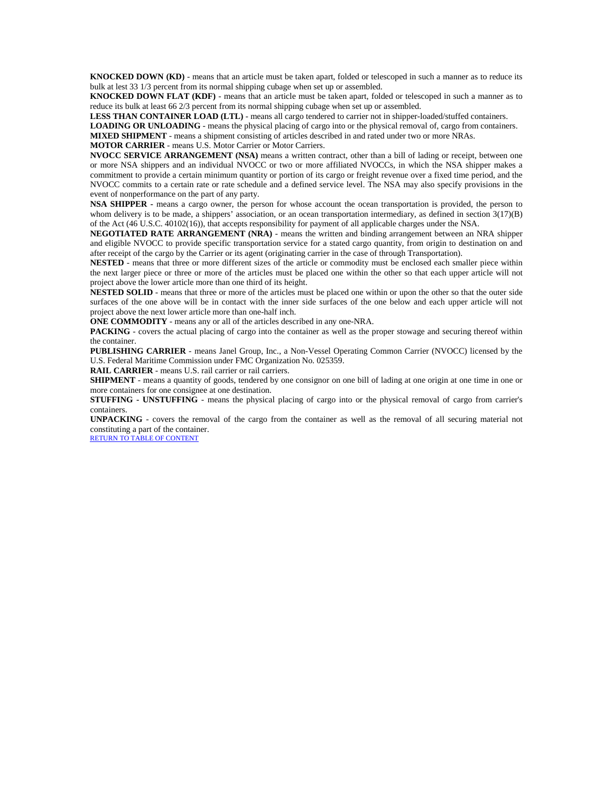**KNOCKED DOWN (KD)** - means that an article must be taken apart, folded or telescoped in such a manner as to reduce its bulk at lest 33 1/3 percent from its normal shipping cubage when set up or assembled.

**KNOCKED DOWN FLAT (KDF)** - means that an article must be taken apart, folded or telescoped in such a manner as to reduce its bulk at least 66 2/3 percent from its normal shipping cubage when set up or assembled.

**LESS THAN CONTAINER LOAD (LTL)** - means all cargo tendered to carrier not in shipper-loaded/stuffed containers.

**LOADING OR UNLOADING** - means the physical placing of cargo into or the physical removal of, cargo from containers.

**MIXED SHIPMENT** - means a shipment consisting of articles described in and rated under two or more NRAs.

**MOTOR CARRIER** - means U.S. Motor Carrier or Motor Carriers.

**NVOCC SERVICE ARRANGEMENT (NSA)** means a written contract, other than a bill of lading or receipt, between one or more NSA shippers and an individual NVOCC or two or more affiliated NVOCCs, in which the NSA shipper makes a commitment to provide a certain minimum quantity or portion of its cargo or freight revenue over a fixed time period, and the NVOCC commits to a certain rate or rate schedule and a defined service level. The NSA may also specify provisions in the event of nonperformance on the part of any party.

**NSA SHIPPER -** means a cargo owner, the person for whose account the ocean transportation is provided, the person to whom delivery is to be made, a shippers' association, or an ocean transportation intermediary, as defined in section  $3(17)(B)$ of the Act (46 U.S.C. 40102(16)), that accepts responsibility for payment of all applicable charges under the NSA.

**NEGOTIATED RATE ARRANGEMENT (NRA)** - means the written and binding arrangement between an NRA shipper and eligible NVOCC to provide specific transportation service for a stated cargo quantity, from origin to destination on and after receipt of the cargo by the Carrier or its agent (originating carrier in the case of through Transportation).

**NESTED** - means that three or more different sizes of the article or commodity must be enclosed each smaller piece within the next larger piece or three or more of the articles must be placed one within the other so that each upper article will not project above the lower article more than one third of its height.

**NESTED SOLID** - means that three or more of the articles must be placed one within or upon the other so that the outer side surfaces of the one above will be in contact with the inner side surfaces of the one below and each upper article will not project above the next lower article more than one-half inch.

**ONE COMMODITY** - means any or all of the articles described in any one-NRA.

PACKING - covers the actual placing of cargo into the container as well as the proper stowage and securing thereof within the container.

**PUBLISHING CARRIER** - means Janel Group, Inc., a Non-Vessel Operating Common Carrier (NVOCC) licensed by the U.S. Federal Maritime Commission under FMC Organization No. 025359.

**RAIL CARRIER** - means U.S. rail carrier or rail carriers.

**SHIPMENT** - means a quantity of goods, tendered by one consignor on one bill of lading at one origin at one time in one or more containers for one consignee at one destination.

**STUFFING - UNSTUFFING** - means the physical placing of cargo into or the physical removal of cargo from carrier's containers.

**UNPACKING** - covers the removal of the cargo from the container as well as the removal of all securing material not constituting a part of the container.

[RETURN TO TABLE OF CONTENT](#page-2-0)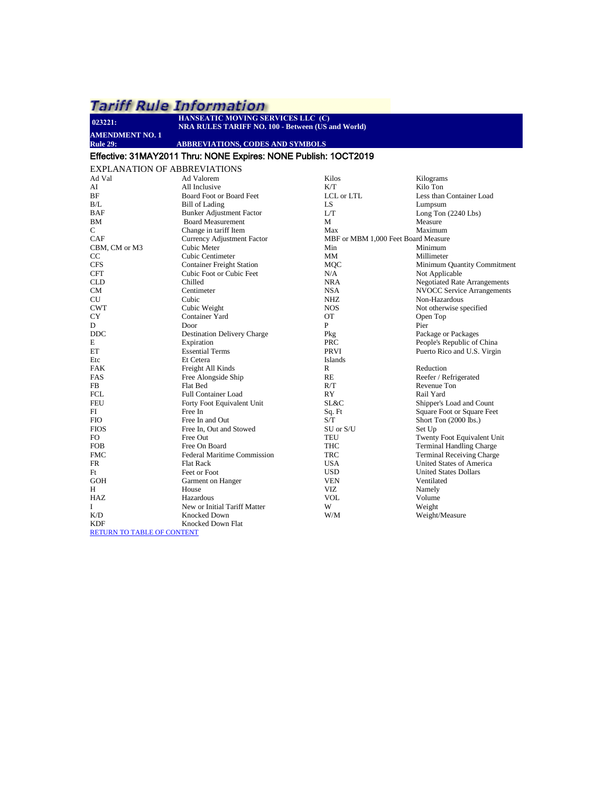<span id="page-28-0"></span>

| 023221:                | HANSEATIC MOVING SERVICES LLC (C)<br><b>NRA RULES TARIFF NO. 100 - Between (US and World)</b>                                                                                                                                 |                  |                                        |
|------------------------|-------------------------------------------------------------------------------------------------------------------------------------------------------------------------------------------------------------------------------|------------------|----------------------------------------|
| <b>AMENDMENT NO. 1</b> |                                                                                                                                                                                                                               |                  |                                        |
| <b>Rule 29:</b>        | <b>ABBREVIATIONS, CODES AND SYMBOLS</b>                                                                                                                                                                                       |                  |                                        |
|                        | Effective: 31MAY2011 Thru: NONE Expires: NONE Publish: 1OCT2019                                                                                                                                                               |                  |                                        |
|                        | <b>EXPLANATION OF ABBREVIATIONS</b>                                                                                                                                                                                           |                  |                                        |
| Ad Val                 | Ad Valorem                                                                                                                                                                                                                    | Kilos            | Kilograms                              |
| AI                     | All Inclusive                                                                                                                                                                                                                 | K/T              | Kilo Ton                               |
| BF                     | Board Foot or Board Feet                                                                                                                                                                                                      | LCL or LTL       | Less than Cont                         |
| B/L                    | Bill of Lading                                                                                                                                                                                                                | LS               | Lumpsum                                |
| <b>DAD</b>             | $P_1$ $I_2$ $I_3$ $I_4$ $I_5$ $I_7$ $I_8$ $I_9$ $I_9$ $I_9$ $I_9$ $I_9$ $I_9$ $I_9$ $I_9$ $I_9$ $I_9$ $I_9$ $I_9$ $I_9$ $I_9$ $I_9$ $I_9$ $I_9$ $I_9$ $I_9$ $I_9$ $I_9$ $I_9$ $I_9$ $I_9$ $I_9$ $I_9$ $I_9$ $I_9$ $I_9$ $I_9$ | $\mathbf{v}$ and | $\mathbf{r}$ $\mathbf{r}$ $\mathbf{r}$ |

| BF                                | Board Foot or Board Feet           | LCL or LTL                          | Less than Container Load            |
|-----------------------------------|------------------------------------|-------------------------------------|-------------------------------------|
| B/L                               | <b>Bill of Lading</b>              | <b>LS</b>                           | Lumpsum                             |
| <b>BAF</b>                        | <b>Bunker Adjustment Factor</b>    | LT                                  | Long Ton $(2240$ Lbs)               |
| <b>BM</b>                         | <b>Board Measurement</b>           | M                                   | Measure                             |
| $\mathbf C$                       | Change in tariff Item              | Max                                 | Maximum                             |
| CAF                               | <b>Currency Adjustment Factor</b>  | MBF or MBM 1,000 Feet Board Measure |                                     |
| CBM, CM or M3                     | Cubic Meter                        | Min                                 | Minimum                             |
| CC                                | Cubic Centimeter                   | MM                                  | Millimeter                          |
| <b>CFS</b>                        | <b>Container Freight Station</b>   | <b>MQC</b>                          | Minimum Quantity Commitment         |
| <b>CFT</b>                        | Cubic Foot or Cubic Feet           | N/A                                 | Not Applicable                      |
| <b>CLD</b>                        | Chilled                            | <b>NRA</b>                          | <b>Negotiated Rate Arrangements</b> |
| CM                                | Centimeter                         | <b>NSA</b>                          | <b>NVOCC Service Arrangements</b>   |
| <b>CU</b>                         | Cubic                              | <b>NHZ</b>                          | Non-Hazardous                       |
| <b>CWT</b>                        | Cubic Weight                       | <b>NOS</b>                          | Not otherwise specified             |
| CY                                | Container Yard                     | <b>OT</b>                           | Open Top                            |
| D                                 | Door                               | P                                   | Pier                                |
| <b>DDC</b>                        | <b>Destination Delivery Charge</b> | Pkg                                 | Package or Packages                 |
| E                                 | Expiration                         | <b>PRC</b>                          | People's Republic of China          |
| ET                                | <b>Essential Terms</b>             | PRVI                                | Puerto Rico and U.S. Virgin         |
| Etc                               | Et Cetera                          | Islands                             |                                     |
| <b>FAK</b>                        | Freight All Kinds                  | $\mathbb{R}$                        | Reduction                           |
| FAS                               | Free Alongside Ship                | RE                                  | Reefer / Refrigerated               |
| FB                                | Flat Bed                           | R/T                                 | Revenue Ton                         |
| <b>FCL</b>                        | <b>Full Container Load</b>         | RY                                  | Rail Yard                           |
| <b>FEU</b>                        | Forty Foot Equivalent Unit         | SL&C                                | Shipper's Load and Count            |
| FI                                | Free In                            | Sq. Ft                              | Square Foot or Square Feet          |
| <b>FIO</b>                        | Free In and Out                    | S/T                                 | Short Ton (2000 lbs.)               |
| <b>FIOS</b>                       | Free In, Out and Stowed            | SU or S/U                           | Set Up                              |
| FO.                               | Free Out                           | <b>TEU</b>                          | Twenty Foot Equivalent Unit         |
| <b>FOB</b>                        | Free On Board                      | <b>THC</b>                          | <b>Terminal Handling Charge</b>     |
| <b>FMC</b>                        | Federal Maritime Commission        | <b>TRC</b>                          | <b>Terminal Receiving Charge</b>    |
| FR                                | <b>Flat Rack</b>                   | <b>USA</b>                          | United States of America            |
| F <sub>t</sub>                    | Feet or Foot                       | <b>USD</b>                          | <b>United States Dollars</b>        |
| <b>GOH</b>                        | Garment on Hanger                  | <b>VEN</b>                          | Ventilated                          |
| H                                 | House                              | <b>VIZ</b>                          | Namely                              |
| HAZ                               | Hazardous                          | <b>VOL</b>                          | Volume                              |
| I                                 | New or Initial Tariff Matter       | W                                   | Weight                              |
| K/D                               | <b>Knocked Down</b>                | W/M                                 | Weight/Measure                      |
| <b>KDF</b>                        | <b>Knocked Down Flat</b>           |                                     |                                     |
| <b>RETURN TO TABLE OF CONTENT</b> |                                    |                                     |                                     |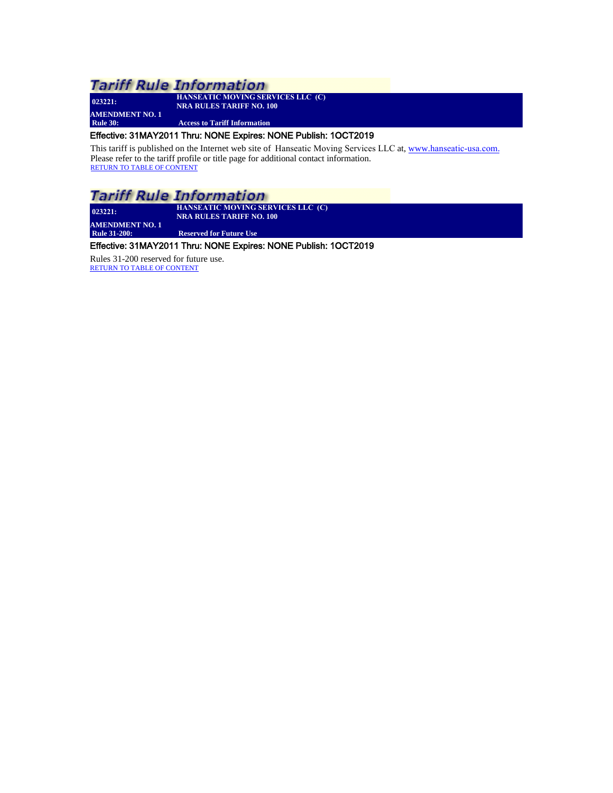**023221: AMENDMENT NO. 1** **HANSEATIC MOVING SERVICES LLC (C) NRA RULES TARIFF NO. 100**

**Access to Tariff Information** 

#### <span id="page-29-0"></span>Effective: 31MAY2011 Thru: NONE Expires: NONE Publish: 1OCT2019

This tariff is published on the Internet web site of Hanseatic Moving [Services LLC](http://www.janelgroup.net./) at, www.hanseatic-usa.com. Please refer to the tariff profile or title page for additional contact information. RETURN [TO TABLE OF CONTENT](#page-2-0)

### **Tariff Rule Information**

**023221: HANSEATIC MOVING SERVICES LLC (C) NRA RULES TARIFF NO. 100**

<span id="page-29-1"></span>**AMENDMENT NO. 1**<br>Rule 31-200: **Reserved for Future Use** 

### Effective: 31MAY2011 Thru: NONE Expires: NONE Publish: 1OCT2019

Rules 31-200 reserved for future use. [RETURN TO TABLE OF CONTENT](#page-2-0)